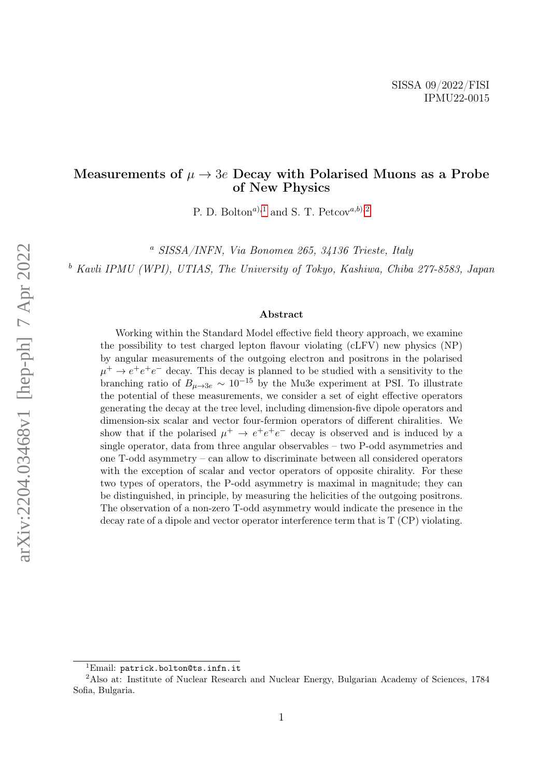#### Measurements of  $\mu \to 3e$  Decay with Polarised Muons as a Probe of New Physics

P. D. Bolton<sup>a),[1](#page-0-0)</sup> and S. T. Petcov<sup>a,b</sup>),<sup>[2](#page-0-1)</sup>

<sup>a</sup> SISSA/INFN, Via Bonomea 265, 34136 Trieste, Italy

<sup>b</sup> Kavli IPMU (WPI), UTIAS, The University of Tokyo, Kashiwa, Chiba 277-8583, Japan

#### Abstract

Working within the Standard Model effective field theory approach, we examine the possibility to test charged lepton flavour violating (cLFV) new physics (NP) by angular measurements of the outgoing electron and positrons in the polarised  $\mu^+ \to e^+e^+e^-$  decay. This decay is planned to be studied with a sensitivity to the branching ratio of  $B_{\mu\to 3e} \sim 10^{-15}$  by the Mu3e experiment at PSI. To illustrate the potential of these measurements, we consider a set of eight effective operators generating the decay at the tree level, including dimension-five dipole operators and dimension-six scalar and vector four-fermion operators of different chiralities. We show that if the polarised  $\mu^+ \to e^+e^+e^-$  decay is observed and is induced by a single operator, data from three angular observables – two P-odd asymmetries and one T-odd asymmetry – can allow to discriminate between all considered operators with the exception of scalar and vector operators of opposite chirality. For these two types of operators, the P-odd asymmetry is maximal in magnitude; they can be distinguished, in principle, by measuring the helicities of the outgoing positrons. The observation of a non-zero T-odd asymmetry would indicate the presence in the decay rate of a dipole and vector operator interference term that is T (CP) violating.

<span id="page-0-1"></span><span id="page-0-0"></span><sup>1</sup>Email: patrick.bolton@ts.infn.it

<sup>2</sup>Also at: Institute of Nuclear Research and Nuclear Energy, Bulgarian Academy of Sciences, 1784 Sofia, Bulgaria.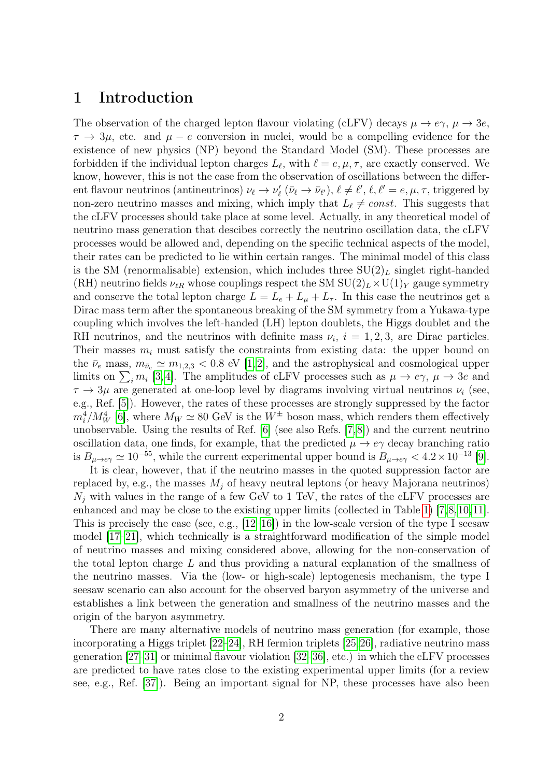#### 1 Introduction

The observation of the charged lepton flavour violating (cLFV) decays  $\mu \to e\gamma$ ,  $\mu \to 3e$ ,  $\tau \to 3\mu$ , etc. and  $\mu - e$  conversion in nuclei, would be a compelling evidence for the existence of new physics (NP) beyond the Standard Model (SM). These processes are forbidden if the individual lepton charges  $L_{\ell}$ , with  $\ell = e, \mu, \tau$ , are exactly conserved. We know, however, this is not the case from the observation of oscillations between the different flavour neutrinos (antineutrinos)  $\nu_{\ell} \to \nu'_{\ell}$  ( $\bar{\nu}_{\ell} \to \bar{\nu}_{\ell'}$ ),  $\ell \neq \ell'$ ,  $\ell, \ell' = e, \mu, \tau$ , triggered by non-zero neutrino masses and mixing, which imply that  $L_{\ell} \neq const.$  This suggests that the cLFV processes should take place at some level. Actually, in any theoretical model of neutrino mass generation that descibes correctly the neutrino oscillation data, the cLFV processes would be allowed and, depending on the specific technical aspects of the model, their rates can be predicted to lie within certain ranges. The minimal model of this class is the SM (renormalisable) extension, which includes three  $SU(2)_L$  singlet right-handed (RH) neutrino fields  $\nu_{\ell R}$  whose couplings respect the SM SU(2)<sub>L</sub>  $\times$ U(1)<sub>Y</sub> gauge symmetry and conserve the total lepton charge  $L = L_e + L_\mu + L_\tau$ . In this case the neutrinos get a Dirac mass term after the spontaneous breaking of the SM symmetry from a Yukawa-type coupling which involves the left-handed (LH) lepton doublets, the Higgs doublet and the RH neutrinos, and the neutrinos with definite mass  $\nu_i$ ,  $i = 1, 2, 3$ , are Dirac particles. Their masses  $m_i$  must satisfy the constraints from existing data: the upper bound on the  $\bar{\nu}_e$  mass,  $m_{\bar{\nu}_e} \simeq m_{1,2,3} < 0.8$  eV [\[1,](#page-16-0) [2\]](#page-17-0), and the astrophysical and cosmological upper limits on  $\sum_i m_i$  [\[3,](#page-17-1)4]. The amplitudes of cLFV processes such as  $\mu \to e\gamma$ ,  $\mu \to 3e$  and  $\tau \to 3\mu$  are generated at one-loop level by diagrams involving virtual neutrinos  $\nu_i$  (see, e.g., Ref. [\[5\]](#page-17-3)). However, the rates of these processes are strongly suppressed by the factor  $m_i^4/M_W^4$  [\[6\]](#page-17-4), where  $M_W \simeq 80$  GeV is the  $W^{\pm}$  boson mass, which renders them effectively unobservable. Using the results of Ref. [\[6\]](#page-17-4) (see also Refs. [\[7,](#page-17-5)[8\]](#page-17-6)) and the current neutrino oscillation data, one finds, for example, that the predicted  $\mu \to e\gamma$  decay branching ratio is  $B_{\mu \to e\gamma} \simeq 10^{-55}$ , while the current experimental upper bound is  $B_{\mu \to e\gamma} < 4.2 \times 10^{-13}$  [\[9\]](#page-17-7).

It is clear, however, that if the neutrino masses in the quoted suppression factor are replaced by, e.g., the masses  $M_j$  of heavy neutral leptons (or heavy Majorana neutrinos)  $N_j$  with values in the range of a few GeV to 1 TeV, the rates of the cLFV processes are enhanced and may be close to the existing upper limits (collected in Table [1\)](#page-3-0) [\[7,](#page-17-5)[8,](#page-17-6)[10,](#page-17-8)[11\]](#page-17-9). This is precisely the case (see, e.g.,  $[12-16]$  $[12-16]$ ) in the low-scale version of the type I seesaw model [\[17–](#page-18-1)[21\]](#page-18-2), which technically is a straightforward modification of the simple model of neutrino masses and mixing considered above, allowing for the non-conservation of the total lepton charge  $L$  and thus providing a natural explanation of the smallness of the neutrino masses. Via the (low- or high-scale) leptogenesis mechanism, the type I seesaw scenario can also account for the observed baryon asymmetry of the universe and establishes a link between the generation and smallness of the neutrino masses and the origin of the baryon asymmetry.

There are many alternative models of neutrino mass generation (for example, those incorporating a Higgs triplet [\[22](#page-18-3)[–24\]](#page-18-4), RH fermion triplets [\[25,](#page-18-5)[26\]](#page-18-6), radiative neutrino mass generation [\[27–](#page-18-7)[31\]](#page-18-8) or minimal flavour violation [\[32–](#page-19-0)[36\]](#page-19-1), etc.) in which the cLFV processes are predicted to have rates close to the existing experimental upper limits (for a review see, e.g., Ref. [\[37\]](#page-19-2)). Being an important signal for NP, these processes have also been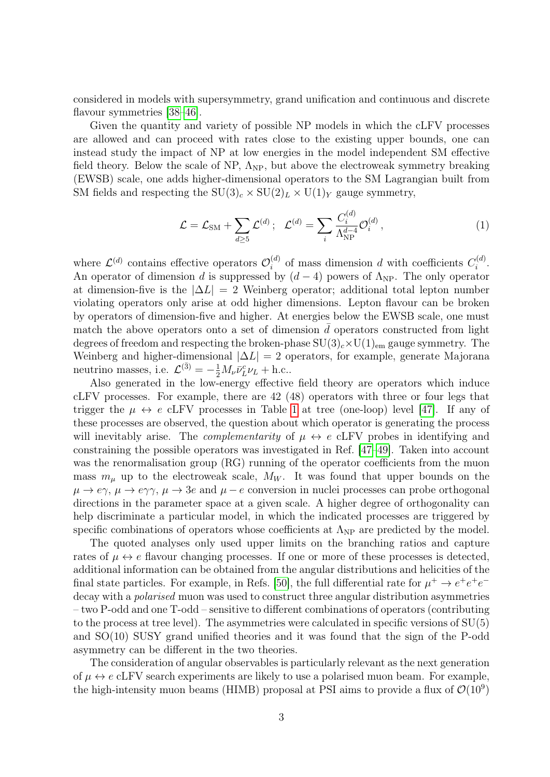considered in models with supersymmetry, grand unification and continuous and discrete flavour symmetries  $|38-46|$ .

Given the quantity and variety of possible NP models in which the cLFV processes are allowed and can proceed with rates close to the existing upper bounds, one can instead study the impact of NP at low energies in the model independent SM effective field theory. Below the scale of NP,  $\Lambda_{NP}$ , but above the electroweak symmetry breaking (EWSB) scale, one adds higher-dimensional operators to the SM Lagrangian built from SM fields and respecting the  $SU(3)_c \times SU(2)_L \times U(1)_Y$  gauge symmetry,

$$
\mathcal{L} = \mathcal{L}_{\text{SM}} + \sum_{d \ge 5} \mathcal{L}^{(d)}; \quad \mathcal{L}^{(d)} = \sum_{i} \frac{C_i^{(d)}}{\Lambda_{\text{NP}}^{d-4}} \mathcal{O}_i^{(d)}, \tag{1}
$$

where  $\mathcal{L}^{(d)}$  contains effective operators  $\mathcal{O}_i^{(d)}$  $i$ <sup>(d)</sup> of mass dimension d with coefficients  $C_i^{(d)}$  $\frac{i^{(a)}}{i}$ . An operator of dimension d is suppressed by  $(d-4)$  powers of  $\Lambda_{NP}$ . The only operator at dimension-five is the  $|\Delta L| = 2$  Weinberg operator; additional total lepton number violating operators only arise at odd higher dimensions. Lepton flavour can be broken by operators of dimension-five and higher. At energies below the EWSB scale, one must match the above operators onto a set of dimension  $\overline{d}$  operators constructed from light degrees of freedom and respecting the broken-phase  $SU(3)_c \times U(1)_{em}$  gauge symmetry. The Weinberg and higher-dimensional  $|\Delta L| = 2$  operators, for example, generate Majorana neutrino masses, i.e.  $\mathcal{L}^{(\bar{3})} = -\frac{1}{2} M_{\nu} \bar{\nu}_{L}^{c} \nu_{L} + \text{h.c.}.$ 

Also generated in the low-energy effective field theory are operators which induce cLFV processes. For example, there are 42 (48) operators with three or four legs that trigger the  $\mu \leftrightarrow e$  cLFV processes in Table [1](#page-3-0) at tree (one-loop) level [\[47\]](#page-20-1). If any of these processes are observed, the question about which operator is generating the process will inevitably arise. The *complementarity* of  $\mu \leftrightarrow e$  cLFV probes in identifying and constraining the possible operators was investigated in Ref. [\[47–](#page-20-1)[49\]](#page-20-2). Taken into account was the renormalisation group (RG) running of the operator coefficients from the muon mass  $m_{\mu}$  up to the electroweak scale,  $M_W$ . It was found that upper bounds on the  $\mu \to e\gamma$ ,  $\mu \to e\gamma\gamma$ ,  $\mu \to 3e$  and  $\mu - e$  conversion in nuclei processes can probe orthogonal directions in the parameter space at a given scale. A higher degree of orthogonality can help discriminate a particular model, in which the indicated processes are triggered by specific combinations of operators whose coefficients at  $\Lambda_{NP}$  are predicted by the model.

The quoted analyses only used upper limits on the branching ratios and capture rates of  $\mu \leftrightarrow e$  flavour changing processes. If one or more of these processes is detected, additional information can be obtained from the angular distributions and helicities of the final state particles. For example, in Refs. [\[50\]](#page-20-3), the full differential rate for  $\mu^+ \to e^+e^+e^$ decay with a *polarised* muon was used to construct three angular distribution asymmetries – two P-odd and one T-odd – sensitive to different combinations of operators (contributing to the process at tree level). The asymmetries were calculated in specific versions of  $SU(5)$ and SO(10) SUSY grand unified theories and it was found that the sign of the P-odd asymmetry can be different in the two theories.

The consideration of angular observables is particularly relevant as the next generation of  $\mu \leftrightarrow e$  cLFV search experiments are likely to use a polarised muon beam. For example, the high-intensity muon beams (HIMB) proposal at PSI aims to provide a flux of  $\mathcal{O}(10^9)$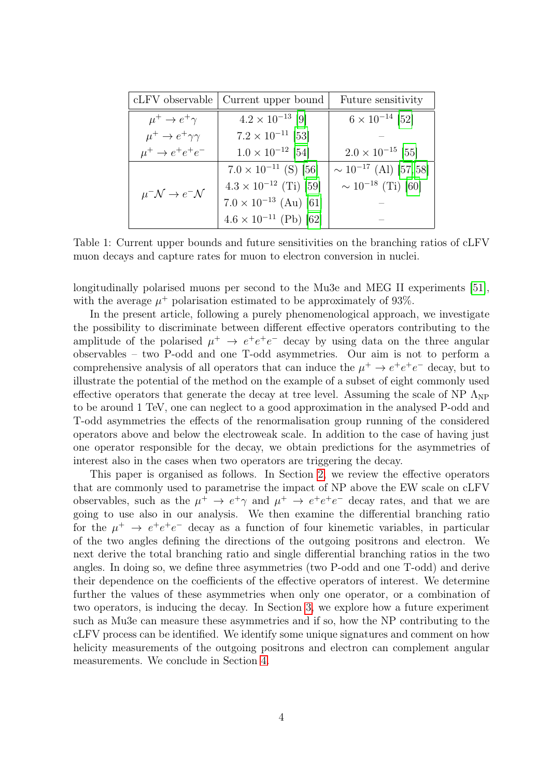| cLFV observable                         | Current upper bound             | Future sensitivity           |
|-----------------------------------------|---------------------------------|------------------------------|
| $\mu^+ \rightarrow e^+ \gamma$          | $4.2 \times 10^{-13}$ [9]       | $6 \times 10^{-14}$ [52]     |
| $\mu^+ \to e^+ \gamma \gamma$           | $7.2 \times 10^{-11}$ [53]      |                              |
| $\mu^+ \rightarrow e^+e^+e^-$           | $1.0 \times 10^{-12}$ [54]      | $2.0 \times 10^{-15}$ [55]   |
| $\mu^- \mathcal{N} \to e^- \mathcal{N}$ | $7.0 \times 10^{-11}$ (S) [56]  | $\sim 10^{-17}$ (Al) [57,58] |
|                                         | $4.3 \times 10^{-12}$ (Ti) [59] | $\sim 10^{-18}$ (Ti) [60]    |
|                                         | $7.0 \times 10^{-13}$ (Au) [61] |                              |
|                                         | $4.6 \times 10^{-11}$ (Pb) [62] |                              |

<span id="page-3-0"></span>Table 1: Current upper bounds and future sensitivities on the branching ratios of cLFV muon decays and capture rates for muon to electron conversion in nuclei.

longitudinally polarised muons per second to the Mu3e and MEG II experiments [\[51\]](#page-20-13), with the average  $\mu^+$  polarisation estimated to be approximately of 93%.

In the present article, following a purely phenomenological approach, we investigate the possibility to discriminate between different effective operators contributing to the amplitude of the polarised  $\mu^+ \to e^+e^-$  decay by using data on the three angular observables – two P-odd and one T-odd asymmetries. Our aim is not to perform a comprehensive analysis of all operators that can induce the  $\mu^+ \to e^+e^+e^-$  decay, but to illustrate the potential of the method on the example of a subset of eight commonly used effective operators that generate the decay at tree level. Assuming the scale of NP  $\Lambda_{\text{NP}}$ to be around 1 TeV, one can neglect to a good approximation in the analysed P-odd and T-odd asymmetries the effects of the renormalisation group running of the considered operators above and below the electroweak scale. In addition to the case of having just one operator responsible for the decay, we obtain predictions for the asymmetries of interest also in the cases when two operators are triggering the decay.

This paper is organised as follows. In Section [2,](#page-4-0) we review the effective operators that are commonly used to parametrise the impact of NP above the EW scale on cLFV observables, such as the  $\mu^+ \to e^+ \gamma$  and  $\mu^+ \to e^+ e^+ e^-$  decay rates, and that we are going to use also in our analysis. We then examine the differential branching ratio for the  $\mu^+ \rightarrow e^+e^+e^-$  decay as a function of four kinemetic variables, in particular of the two angles defining the directions of the outgoing positrons and electron. We next derive the total branching ratio and single differential branching ratios in the two angles. In doing so, we define three asymmetries (two P-odd and one T-odd) and derive their dependence on the coefficients of the effective operators of interest. We determine further the values of these asymmetries when only one operator, or a combination of two operators, is inducing the decay. In Section [3,](#page-7-0) we explore how a future experiment such as Mu3e can measure these asymmetries and if so, how the NP contributing to the cLFV process can be identified. We identify some unique signatures and comment on how helicity measurements of the outgoing positrons and electron can complement angular measurements. We conclude in Section [4.](#page-12-0)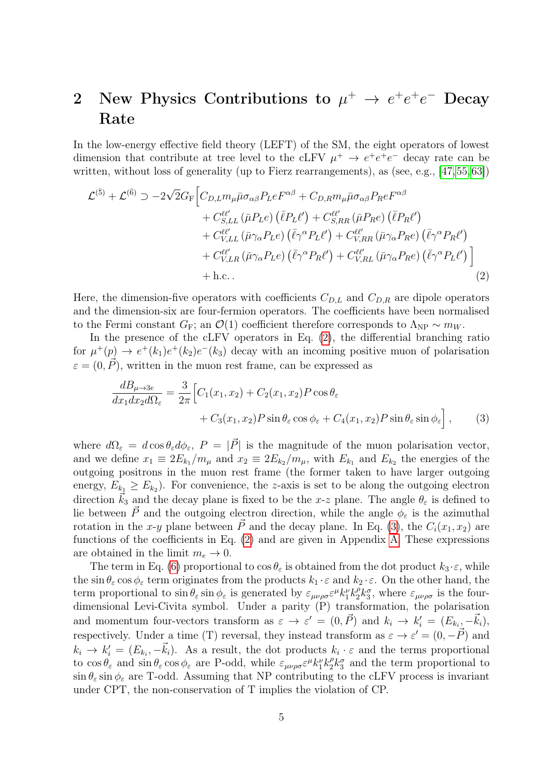# <span id="page-4-0"></span>2 New Physics Contributions to  $\mu^+ \to e^+e^+e^-$  Decay Rate

In the low-energy effective field theory (LEFT) of the SM, the eight operators of lowest dimension that contribute at tree level to the cLFV  $\mu^+ \to e^+e^+e^-$  decay rate can be written, without loss of generality (up to Fierz rearrangements), as (see, e.g., [\[47,](#page-20-1)[55,](#page-20-7)[63\]](#page-21-2))

$$
\mathcal{L}^{(\bar{5})} + \mathcal{L}^{(\bar{6})} \supset -2\sqrt{2}G_{F} \Big[ C_{D,L} m_{\mu} \bar{\mu} \sigma_{\alpha\beta} P_{L} e^{F^{\alpha\beta}} + C_{D,R} m_{\mu} \bar{\mu} \sigma_{\alpha\beta} P_{R} e^{F^{\alpha\beta}} + C_{S,LL}^{\ell\ell'} (\bar{\mu} P_{L} e) (\bar{\ell} P_{L} \ell') + C_{S,RR}^{\ell\ell'} (\bar{\mu} P_{R} e) (\bar{\ell} P_{R} \ell') + C_{V,LL}^{\ell\ell'} (\bar{\mu} \gamma_{\alpha} P_{L} e) (\bar{\ell} \gamma^{\alpha} P_{L} \ell') + C_{V,RR}^{\ell\ell'} (\bar{\mu} \gamma_{\alpha} P_{R} e) (\bar{\ell} \gamma^{\alpha} P_{R} \ell') + C_{V,LR}^{\ell\ell'} (\bar{\mu} \gamma_{\alpha} P_{L} e) (\bar{\ell} \gamma^{\alpha} P_{R} \ell') + C_{V,RL}^{\ell\ell'} (\bar{\mu} \gamma_{\alpha} P_{R} e) (\bar{\ell} \gamma^{\alpha} P_{L} \ell') \Big] + \text{h.c.}
$$
\n(2)

Here, the dimension-five operators with coefficients  $C_{D,L}$  and  $C_{D,R}$  are dipole operators and the dimension-six are four-fermion operators. The coefficients have been normalised to the Fermi constant  $G_F$ ; an  $\mathcal{O}(1)$  coefficient therefore corresponds to  $\Lambda_{\rm NP} \sim m_W$ .

In the presence of the cLFV operators in Eq. [\(2\)](#page-4-1), the differential branching ratio for  $\mu^+(p) \to e^+(k_1)e^+(k_2)e^-(k_3)$  decay with an incoming positive muon of polarisation  $\varepsilon = (0, \vec{P})$ , written in the muon rest frame, can be expressed as

<span id="page-4-2"></span><span id="page-4-1"></span>
$$
\frac{dB_{\mu \to 3e}}{dx_1 dx_2 d\Omega_{\varepsilon}} = \frac{3}{2\pi} \Big[ C_1(x_1, x_2) + C_2(x_1, x_2) P \cos \theta_{\varepsilon} + C_3(x_1, x_2) P \sin \theta_{\varepsilon} \cos \phi_{\varepsilon} + C_4(x_1, x_2) P \sin \theta_{\varepsilon} \sin \phi_{\varepsilon} \Big], \qquad (3)
$$

where  $d\Omega_{\varepsilon} = d\cos\theta_{\varepsilon}d\phi_{\varepsilon}$ ,  $P = |\vec{P}|$  is the magnitude of the muon polarisation vector, and we define  $x_1 \equiv 2E_{k_1}/m_\mu$  and  $x_2 \equiv 2E_{k_2}/m_\mu$ , with  $E_{k_1}$  and  $E_{k_2}$  the energies of the outgoing positrons in the muon rest frame (the former taken to have larger outgoing energy,  $E_{k_1} \ge E_{k_2}$ ). For convenience, the *z*-axis is set to be along the outgoing electron direction  $\vec{k}_3$  and the decay plane is fixed to be the x-z plane. The angle  $\theta_{\varepsilon}$  is defined to lie between  $\vec{P}$  and the outgoing electron direction, while the angle  $\phi_{\varepsilon}$  is the azimuthal rotation in the x-y plane between  $\vec{P}$  and the decay plane. In Eq. [\(3\)](#page-4-2), the  $C_i(x_1, x_2)$  are functions of the coefficients in Eq. [\(2\)](#page-4-1) and are given in Appendix [A.](#page-14-0) These expressions are obtained in the limit  $m_e \rightarrow 0$ .

The term in Eq. [\(6\)](#page-5-0) proportional to  $\cos \theta_{\varepsilon}$  is obtained from the dot product  $k_3 \cdot \varepsilon$ , while the sin  $\theta_{\varepsilon}$  cos  $\phi_{\varepsilon}$  term originates from the products  $k_1 \cdot \varepsilon$  and  $k_2 \cdot \varepsilon$ . On the other hand, the term proportional to  $\sin \theta_{\varepsilon} \sin \phi_{\varepsilon}$  is generated by  $\varepsilon_{\mu\nu\rho\sigma} \varepsilon^{\mu} k_1^{\nu} k_2^{\rho} k_3^{\sigma}$ , where  $\varepsilon_{\mu\nu\rho\sigma}$  is the fourdimensional Levi-Civita symbol. Under a parity (P) transformation, the polarisation and momentum four-vectors transform as  $\varepsilon \to \varepsilon' = (0, \vec{P})$  and  $k_i \to k'_i = (E_{k_i}, -\vec{k}_i),$ respectively. Under a time (T) reversal, they instead transform as  $\varepsilon \to \varepsilon' = (0, -\vec{P})$  and  $k_i \to k'_i = (E_{k_i}, -\vec{k}_i)$ . As a result, the dot products  $k_i \cdot \varepsilon$  and the terms proportional to  $\cos \theta_{\varepsilon}$  and  $\sin \theta_{\varepsilon} \cos \phi_{\varepsilon}$  are P-odd, while  $\varepsilon_{\mu\nu\rho\sigma} \varepsilon^{\mu} k_1^{\nu} k_2^{\rho} k_3^{\sigma}$  and the term proportional to  $\sin \theta_{\varepsilon}$  sin  $\phi_{\varepsilon}$  are T-odd. Assuming that NP contributing to the cLFV process is invariant under CPT, the non-conservation of T implies the violation of CP.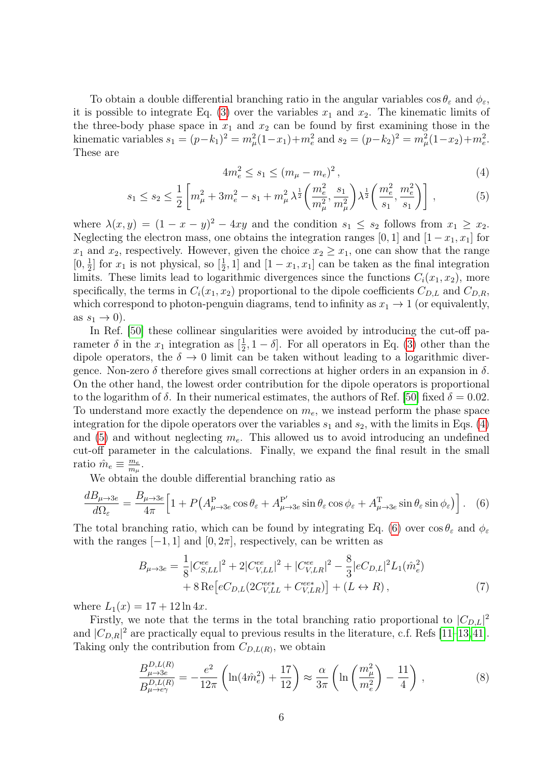To obtain a double differential branching ratio in the angular variables  $\cos \theta_{\varepsilon}$  and  $\phi_{\varepsilon}$ , it is possible to integrate Eq. [\(3\)](#page-4-2) over the variables  $x_1$  and  $x_2$ . The kinematic limits of the three-body phase space in  $x_1$  and  $x_2$  can be found by first examining those in the kinematic variables  $s_1 = (p-k_1)^2 = m_\mu^2(1-x_1) + m_e^2$  and  $s_2 = (p-k_2)^2 = m_\mu^2(1-x_2) + m_e^2$ . These are

<span id="page-5-2"></span><span id="page-5-1"></span>
$$
4m_e^2 \le s_1 \le (m_\mu - m_e)^2 \,,\tag{4}
$$

$$
s_1 \le s_2 \le \frac{1}{2} \left[ m_\mu^2 + 3m_e^2 - s_1 + m_\mu^2 \lambda^{\frac{1}{2}} \left( \frac{m_e^2}{m_\mu^2}, \frac{s_1}{m_\mu^2} \right) \lambda^{\frac{1}{2}} \left( \frac{m_e^2}{s_1}, \frac{m_e^2}{s_1} \right) \right],\tag{5}
$$

where  $\lambda(x, y) = (1 - x - y)^2 - 4xy$  and the condition  $s_1 \leq s_2$  follows from  $x_1 \geq x_2$ . Neglecting the electron mass, one obtains the integration ranges [0, 1] and  $[1-x_1, x_1]$  for  $x_1$  and  $x_2$ , respectively. However, given the choice  $x_2 \ge x_1$ , one can show that the range  $[0, \frac{1}{2}]$  $\frac{1}{2}$  for  $x_1$  is not physical, so  $\left[\frac{1}{2}\right]$  $\frac{1}{2}$ , 1] and  $[1-x_1, x_1]$  can be taken as the final integration limits. These limits lead to logarithmic divergences since the functions  $C_i(x_1, x_2)$ , more specifically, the terms in  $C_i(x_1, x_2)$  proportional to the dipole coefficients  $C_{D,L}$  and  $C_{D,R}$ , which correspond to photon-penguin diagrams, tend to infinity as  $x_1 \rightarrow 1$  (or equivalently, as  $s_1 \rightarrow 0$ ).

In Ref. [\[50\]](#page-20-3) these collinear singularities were avoided by introducing the cut-off parameter  $\delta$  in the  $x_1$  integration as  $\left[\frac{1}{2}\right]$  $\frac{1}{2}$ , 1 –  $\delta$ . For all operators in Eq. [\(3\)](#page-4-2) other than the dipole operators, the  $\delta \to 0$  limit can be taken without leading to a logarithmic divergence. Non-zero  $\delta$  therefore gives small corrections at higher orders in an expansion in  $\delta$ . On the other hand, the lowest order contribution for the dipole operators is proportional to the logarithm of  $\delta$ . In their numerical estimates, the authors of Ref. [\[50\]](#page-20-3) fixed  $\delta = 0.02$ . To understand more exactly the dependence on  $m_e$ , we instead perform the phase space integration for the dipole operators over the variables  $s_1$  and  $s_2$ , with the limits in Eqs. [\(4\)](#page-5-1) and [\(5\)](#page-5-2) and without neglecting  $m_e$ . This allowed us to avoid introducing an undefined cut-off parameter in the calculations. Finally, we expand the final result in the small ratio  $\hat{m}_e \equiv \frac{m_e}{m_\mu}$  $\frac{m_e}{m_\mu}$ .

We obtain the double differential branching ratio as

$$
\frac{dB_{\mu\to 3e}}{d\Omega_{\varepsilon}} = \frac{B_{\mu\to 3e}}{4\pi} \Big[ 1 + P\big(A_{\mu\to 3e}^{\mathcal{P}}\cos\theta_{\varepsilon} + A_{\mu\to 3e}^{\mathcal{P}'}\sin\theta_{\varepsilon}\cos\phi_{\varepsilon} + A_{\mu\to 3e}^{\mathcal{P}}\sin\theta_{\varepsilon}\sin\phi_{\varepsilon} \big) \Big]. \tag{6}
$$

The total branching ratio, which can be found by integrating Eq. [\(6\)](#page-5-0) over  $\cos \theta_{\varepsilon}$  and  $\phi_{\varepsilon}$ with the ranges  $[-1, 1]$  and  $[0, 2\pi]$ , respectively, can be written as

<span id="page-5-3"></span><span id="page-5-0"></span>
$$
B_{\mu \to 3e} = \frac{1}{8} |C_{S,LL}^{ee}|^2 + 2|C_{V,LL}^{ee}|^2 + |C_{V,LR}^{ee}|^2 - \frac{8}{3}|eC_{D,L}|^2 L_1(\hat{m}_e^2) + 8 \operatorname{Re}\left[eC_{D,L}(2C_{V,LL}^{ee*} + C_{V,LR}^{ee*})\right] + (L \leftrightarrow R), \tag{7}
$$

where  $L_1(x) = 17 + 12 \ln 4x$ .

Firstly, we note that the terms in the total branching ratio proportional to  $|C_{D,L}|^2$ and  $|C_{D,R}|^2$  are practically equal to previous results in the literature, c.f. Refs [\[11–](#page-17-9)[13,](#page-17-11)[41\]](#page-19-4). Taking only the contribution from  $C_{D,L(R)}$ , we obtain

$$
\frac{B_{\mu \to 3e}^{D,L(R)}}{B_{\mu \to e\gamma}^{D,L(R)}} = -\frac{e^2}{12\pi} \left( \ln(4\hat{m}_e^2) + \frac{17}{12} \right) \approx \frac{\alpha}{3\pi} \left( \ln\left(\frac{m_\mu^2}{m_e^2}\right) - \frac{11}{4} \right) ,\tag{8}
$$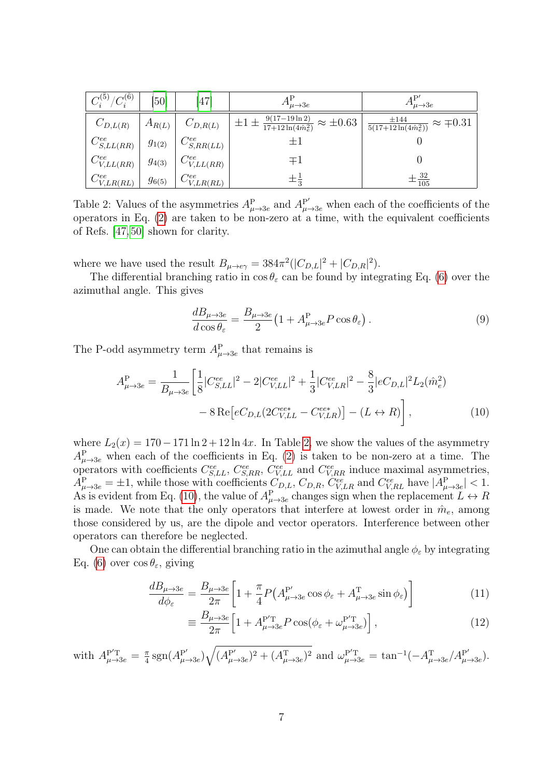| $C_i^{(\bar{5})}/C_i^{(\bar{6})}$                  | [50]       | [47]                                                                       | $A^{\rm r}_{\mu\to 3e}$                                                                  | $A^{\rm r}_{\mu\to 3e}$                                      |
|----------------------------------------------------|------------|----------------------------------------------------------------------------|------------------------------------------------------------------------------------------|--------------------------------------------------------------|
| $C_{D,L(R)}$                                       |            | $A_{R(L)}$ $C_{D,R(L)}$                                                    | $\left  \pm 1 \pm \frac{9(17-19\ln 2)}{17+12\ln(4\hat{m}_e^2)} \approx \pm 0.63 \right $ | $\frac{\pm 144}{5(17+12\ln(4\hat{m}_e^2))} \approx \pm 0.31$ |
| $C_{S,LL(RR)}^{ee}$ $g_{1(2)}$ $C_{S,RR(LL)}^{ee}$ |            |                                                                            | $\pm 1$                                                                                  |                                                              |
| $C_{V,LL(RR)}^{ee}$                                |            | $\left  \begin{array}{c} g_{4(3)} \end{array} \right $ $C^{ee}_{V,LL(RR)}$ | $\mp 1$                                                                                  |                                                              |
| $C_{V,LR(RL)}^{ee}$                                | $g_{6(5)}$ | $\frac{e}{\sqrt{C_{V,LR(RL)}}}$                                            | $\pm \frac{1}{3}$                                                                        | $\pm\frac{32}{105}$                                          |

<span id="page-6-0"></span>Table 2: Values of the asymmetries  $A_{\mu\to 3e}^{\text{P}}$  and  $A_{\mu\to 3e}^{\text{P}'}$  when each of the coefficients of the operators in Eq.  $(2)$  are taken to be non-zero at a time, with the equivalent coefficients of Refs. [\[47,](#page-20-1) [50\]](#page-20-3) shown for clarity.

where we have used the result  $B_{\mu \to e\gamma} = 384 \pi^2 (|C_{D,L}|^2 + |C_{D,R}|^2)$ .

The differential branching ratio in  $\cos \theta_{\epsilon}$  can be found by integrating Eq. [\(6\)](#page-5-0) over the azimuthal angle. This gives

<span id="page-6-1"></span>
$$
\frac{dB_{\mu \to 3e}}{d\cos\theta_{\varepsilon}} = \frac{B_{\mu \to 3e}}{2} \left( 1 + A_{\mu \to 3e}^{\mathcal{P}} P \cos\theta_{\varepsilon} \right). \tag{9}
$$

The P-odd asymmetry term  $A_{\mu \to 3e}^{\text{P}}$  that remains is

$$
A_{\mu \to 3e}^{\mathcal{P}} = \frac{1}{B_{\mu \to 3e}} \left[ \frac{1}{8} |C_{S,LL}^{ee}|^2 - 2|C_{V,LL}^{ee}|^2 + \frac{1}{3} |C_{V,LR}^{ee}|^2 - \frac{8}{3} |eC_{D,L}|^2 L_2(\hat{m}_e^2) - 8 \operatorname{Re}\left[eC_{D,L}(2C_{V,LL}^{ee*} - C_{V,LR}^{ee*})\right] - (L \leftrightarrow R) \right],
$$
\n(10)

where  $L_2(x) = 170 - 171 \ln 2 + 12 \ln 4x$ . In Table [2,](#page-6-0) we show the values of the asymmetry  $A_{\mu\rightarrow 3e}^{\text{P}}$  when each of the coefficients in Eq. [\(2\)](#page-4-1) is taken to be non-zero at a time. The operators with coefficients  $C_{S,LL}^{ee}$ ,  $C_{S,RR}^{ee}$ ,  $C_{V,LL}^{ee}$  and  $C_{V,RR}^{ee}$  induce maximal asymmetries,  $A_{\mu\to 3e}^P = \pm 1$ , while those with coefficients  $C_{D,L}$ ,  $C_{D,R}$ ,  $C_{V,LR}^{ee}$  and  $C_{V,RL}^{ee}$  have  $|A_{\mu\to 3e}^P| < 1$ . As is evident from Eq. [\(10\)](#page-6-1), the value of  $A_{\mu\to 3e}^P$  changes sign when the replacement  $L \leftrightarrow R$ is made. We note that the only operators that interfere at lowest order in  $\hat{m}_e$ , among those considered by us, are the dipole and vector operators. Interference between other operators can therefore be neglected.

One can obtain the differential branching ratio in the azimuthal angle  $\phi_{\varepsilon}$  by integrating Eq. [\(6\)](#page-5-0) over  $\cos \theta_{\epsilon}$ , giving

$$
\frac{dB_{\mu\to 3e}}{d\phi_{\varepsilon}} = \frac{B_{\mu\to 3e}}{2\pi} \left[ 1 + \frac{\pi}{4} P \left( A_{\mu\to 3e}^{\mathcal{P}'} \cos \phi_{\varepsilon} + A_{\mu\to 3e}^{\mathcal{T}} \sin \phi_{\varepsilon} \right) \right]
$$
(11)

$$
\equiv \frac{B_{\mu \to 3e}}{2\pi} \left[ 1 + A_{\mu \to 3e}^{\mathbf{P}'\mathbf{T}} P \cos(\phi_\varepsilon + \omega_{\mu \to 3e}^{\mathbf{P}'\mathbf{T}}) \right],\tag{12}
$$

with 
$$
A_{\mu \to 3e}^{P'T} = \frac{\pi}{4} \text{sgn}(A_{\mu \to 3e}^{P'}) \sqrt{(A_{\mu \to 3e}^{P'})^2 + (A_{\mu \to 3e}^{T})^2}
$$
 and  $\omega_{\mu \to 3e}^{P'T} = \tan^{-1}(-A_{\mu \to 3e}^{T}/A_{\mu \to 3e}^{P'})$ .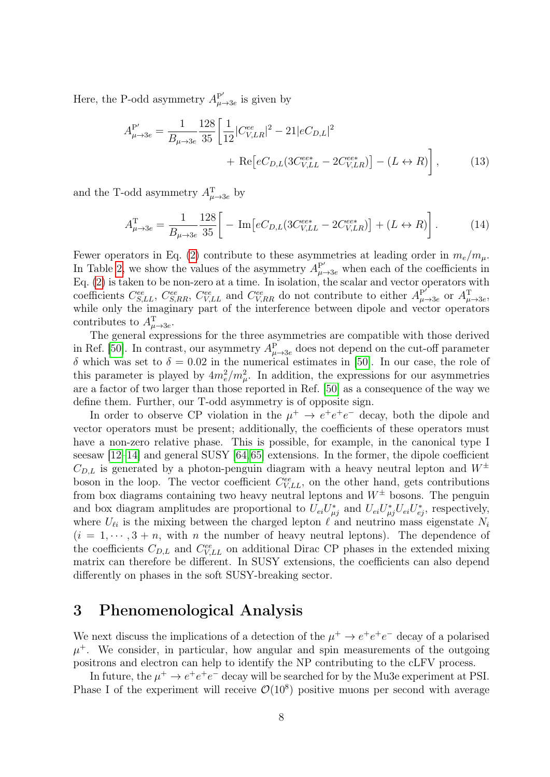Here, the P-odd asymmetry  $A_{\mu}^{\text{P}'}$  $_{\mu \rightarrow 3e}^{\rm P'}$  is given by

$$
A_{\mu \to 3e}^{\mathcal{P}'} = \frac{1}{B_{\mu \to 3e}} \frac{128}{35} \left[ \frac{1}{12} |C_{V,LR}^{ee}|^2 - 21|eC_{D,L}|^2 + \text{Re}\left[eC_{D,L}(3C_{V,LL}^{ee*} - 2C_{V,LR}^{ee*})\right] - (L \leftrightarrow R) \right],\tag{13}
$$

and the T-odd asymmetry  $A_{\mu \to 3e}^{T}$  by

$$
A_{\mu \to 3e}^{\mathrm{T}} = \frac{1}{B_{\mu \to 3e}} \frac{128}{35} \left[ -\mathrm{Im} \left[ eC_{D,L} (3C_{V,LL}^{ee*} - 2C_{V,LR}^{ee*}) \right] + (L \leftrightarrow R) \right]. \tag{14}
$$

Fewer operators in Eq. [\(2\)](#page-4-1) contribute to these asymmetries at leading order in  $m_e/m_\mu$ . In Table [2,](#page-6-0) we show the values of the asymmetry  $A_{\mu \to 3e}^{P'}$  when each of the coefficients in Eq. [\(2\)](#page-4-1) is taken to be non-zero at a time. In isolation, the scalar and vector operators with coefficients  $C_{S,LL}^{ee}$ ,  $C_{S,RR}^{ee}$ ,  $C_{V,LL}^{ee}$  and  $C_{V,RR}^{ee}$  do not contribute to either  $A_{\mu}^{\text{P'}}$  $P'_{\mu\rightarrow 3e}$  or  $A^{\rm T}_{\mu\rightarrow 3e}$ , while only the imaginary part of the interference between dipole and vector operators contributes to  $A_{\mu \to 3e}^{\mathrm{T}}$ .

The general expressions for the three asymmetries are compatible with those derived in Ref. [\[50\]](#page-20-3). In contrast, our asymmetry  $A_{\mu\to 3e}^{\rm P}$  does not depend on the cut-off parameter δ which was set to δ = 0.02 in the numerical estimates in [\[50\]](#page-20-3). In our case, the role of this parameter is played by  $4m_e^2/m_\mu^2$ . In addition, the expressions for our asymmetries are a factor of two larger than those reported in Ref. [\[50\]](#page-20-3) as a consequence of the way we define them. Further, our T-odd asymmetry is of opposite sign.

In order to observe CP violation in the  $\mu^+ \to e^+e^+e^-$  decay, both the dipole and vector operators must be present; additionally, the coefficients of these operators must have a non-zero relative phase. This is possible, for example, in the canonical type I seesaw [\[12](#page-17-10)[–14\]](#page-17-12) and general SUSY [\[64,](#page-21-3)[65\]](#page-21-4) extensions. In the former, the dipole coefficient  $C_{D,L}$  is generated by a photon-penguin diagram with a heavy neutral lepton and  $W^{\pm}$ boson in the loop. The vector coefficient  $C_{V,LL}^{ee}$ , on the other hand, gets contributions from box diagrams containing two heavy neutral leptons and  $W^{\pm}$  bosons. The penguin and box diagram amplitudes are proportional to  $U_{ei}U_{\mu j}^*$  and  $U_{ei}U_{\mu j}^*U_{ei}U_{ej}^*$ , respectively, where  $U_{\ell i}$  is the mixing between the charged lepton  $\ell$  and neutrino mass eigenstate  $N_i$  $(i = 1, \dots, 3 + n$ , with n the number of heavy neutral leptons). The dependence of the coefficients  $C_{D,L}$  and  $C_{V,LL}^{ee}$  on additional Dirac CP phases in the extended mixing matrix can therefore be different. In SUSY extensions, the coefficients can also depend differently on phases in the soft SUSY-breaking sector.

### <span id="page-7-0"></span>3 Phenomenological Analysis

We next discuss the implications of a detection of the  $\mu^+ \to e^+e^+e^-$  decay of a polarised  $\mu^+$ . We consider, in particular, how angular and spin measurements of the outgoing positrons and electron can help to identify the NP contributing to the cLFV process.

In future, the  $\mu^+ \to e^+e^+e^-$  decay will be searched for by the Mu3e experiment at PSI. Phase I of the experiment will receive  $\mathcal{O}(10^8)$  positive muons per second with average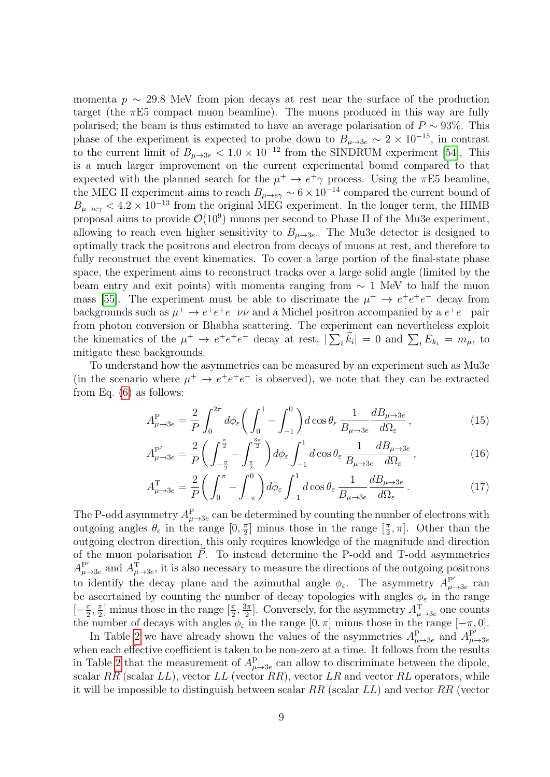momenta  $p \sim 29.8$  MeV from pion decays at rest near the surface of the production target (the  $\pi E5$  compact muon beamline). The muons produced in this way are fully polarised; the beam is thus estimated to have an average polarisation of  $P \sim 93\%$ . This phase of the experiment is expected to probe down to  $B_{\mu\to 3e} \sim 2 \times 10^{-15}$ , in contrast to the current limit of  $B_{\mu\to 3e} < 1.0 \times 10^{-12}$  from the SINDRUM experiment [\[54\]](#page-20-6). This is a much larger improvement on the current experimental bound compared to that expected with the planned search for the  $\mu^+ \to e^+ \gamma$  process. Using the  $\pi E5$  beamline, the MEG II experiment aims to reach  $B_{\mu\to e\gamma} \sim 6 \times 10^{-14}$  compared the current bound of  $B_{\mu\to e\gamma} < 4.2 \times 10^{-13}$  from the original MEG experiment. In the longer term, the HIMB proposal aims to provide  $\mathcal{O}(10^9)$  muons per second to Phase II of the Mu3e experiment, allowing to reach even higher sensitivity to  $B_{\mu\to 3e}$ . The Mu3e detector is designed to optimally track the positrons and electron from decays of muons at rest, and therefore to fully reconstruct the event kinematics. To cover a large portion of the final-state phase space, the experiment aims to reconstruct tracks over a large solid angle (limited by the beam entry and exit points) with momenta ranging from  $\sim 1$  MeV to half the muon mass [\[55\]](#page-20-7). The experiment must be able to discrimate the  $\mu^+ \to e^+e^+e^-$  decay from backgrounds such as  $\mu^+ \to e^+e^+e^-\nu\bar{\nu}$  and a Michel positron accompanied by a  $e^+e^-$  pair from photon conversion or Bhabha scattering. The experiment can nevertheless exploit the kinematics of the  $\mu^+ \to e^+e^+e^-$  decay at rest,  $|\sum_i \vec{k}_i| = 0$  and  $\sum_i E_{k_i} = m_{\mu}$ , to mitigate these backgrounds.

To understand how the asymmetries can be measured by an experiment such as Mu3e (in the scenario where  $\mu^+ \to e^+e^+e^-$  is observed), we note that they can be extracted from Eq. [\(6\)](#page-5-0) as follows:

<span id="page-8-0"></span>
$$
A_{\mu \to 3e}^{\mathcal{P}} = \frac{2}{P} \int_0^{2\pi} d\phi_{\varepsilon} \bigg( \int_0^1 - \int_{-1}^0 \bigg) d\cos\theta_{\varepsilon} \frac{1}{B_{\mu \to 3e}} \frac{dB_{\mu \to 3e}}{d\Omega_{\varepsilon}}, \tag{15}
$$

<span id="page-8-1"></span>
$$
A_{\mu \to 3e}^{\mathbf{P}'} = \frac{2}{P} \bigg( \int_{-\frac{\pi}{2}}^{\frac{\pi}{2}} - \int_{\frac{\pi}{2}}^{\frac{3\pi}{2}} \bigg) d\phi_{\varepsilon} \int_{-1}^{1} d\cos\theta_{\varepsilon} \frac{1}{B_{\mu \to 3e}} \frac{dB_{\mu \to 3e}}{d\Omega_{\varepsilon}}, \tag{16}
$$

<span id="page-8-2"></span>
$$
A_{\mu \to 3e}^{\mathrm{T}} = \frac{2}{P} \bigg( \int_0^{\pi} - \int_{-\pi}^0 \bigg) d\phi_{\varepsilon} \int_{-1}^1 d\cos\theta_{\varepsilon} \frac{1}{B_{\mu \to 3e}} \frac{dB_{\mu \to 3e}}{d\Omega_{\varepsilon}} \,. \tag{17}
$$

The P-odd asymmetry  $A_{\mu\to 3e}^{\rm P}$  can be determined by counting the number of electrons with outgoing angles  $\theta_{\varepsilon}$  in the range  $[0, \frac{\pi}{2}]$  $\frac{\pi}{2}$ ] minus those in the range  $\left[\frac{\pi}{2}\right]$  $\frac{\pi}{2}, \pi$ . Other than the outgoing electron direction, this only requires knowledge of the magnitude and direction of the muon polarisation  $\vec{P}$ . To instead determine the P-odd and T-odd asymmetries  $A_{\mu}^{\text{P}'}$  $P'_{\mu\to 3e}$  and  $A_{\mu\to 3e}^{T}$ , it is also necessary to measure the directions of the outgoing positrons to identify the decay plane and the azimuthal angle  $\phi_{\varepsilon}$ . The asymmetry  $A_{\mu}^{\mathbf{P}^{\prime}}$ .  $_{\mu \rightarrow 3e}^{\rm P'}$  can be ascertained by counting the number of decay topologies with angles  $\phi_{\varepsilon}$  in the range  $\left[-\frac{\pi}{2}\right]$  $\frac{\pi}{2}$ ,  $\frac{\pi}{2}$  $\frac{\pi}{2}$ ] minus those in the range  $\left[\frac{\pi}{2}\right]$  $\frac{\pi}{2}, \frac{3\pi}{2}$  $\frac{3\pi}{2}$ . Conversely, for the asymmetry  $A^{\mathrm{T}}_{\mu\to 3e}$  one counts the number of decays with angles  $\phi_{\varepsilon}$  in the range  $[0, \pi]$  minus those in the range  $[-\pi, 0]$ .

In Table [2](#page-6-0) we have already shown the values of the asymmetries  $A_{\mu\to 3e}^{\text{P}}$  and  $A_{\mu}^{\text{P}}$ .  $\mu \rightarrow 3e$ when each effective coefficient is taken to be non-zero at a time. It follows from the results in Table [2](#page-6-0) that the measurement of  $A_{\mu\to 3e}^{\rm P}$  can allow to discriminate between the dipole, scalar  $RR$  (scalar  $LL$ ), vector  $LL$  (vector  $RR$ ), vector  $LR$  and vector  $RL$  operators, while it will be impossible to distinguish between scalar  $RR$  (scalar  $LL$ ) and vector  $RR$  (vector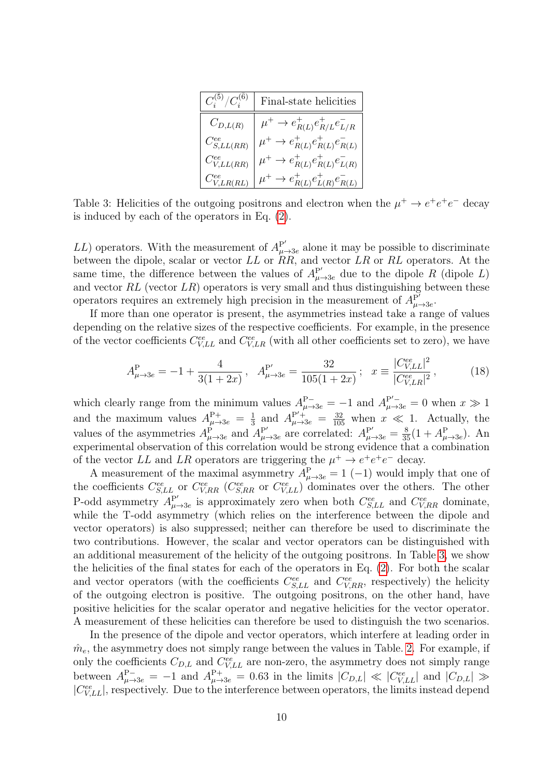| $C_i^{(5)}/C_i^{(6)}$      | Final-state helicities                               |
|----------------------------|------------------------------------------------------|
| $C_{D,L(R)}$               | $\mu^+ \to e^+_{R(L)} e^+_{R/L} e^-_{L/R}$           |
| $C_{S,LL(RR)}^{ee}$        | $\mu^+ \rightarrow e^+_{R(L)} e^+_{R(L)} e^-_{R(L)}$ |
| $C_{V,LL(RR)}^{ee}$        | $\mu^+ \to e^+_{R(L)} e^+_{R(L)} e^-_{L(R)}$         |
| $C_{V,LR(RL)}^{\text{ce}}$ | $\mu^+ \to e^+_{R(L)} e^+_{L(R)} e^-_{R(L)}$         |

<span id="page-9-0"></span>Table 3: Helicities of the outgoing positrons and electron when the  $\mu^+ \to e^+e^+e^-$  decay is induced by each of the operators in Eq. [\(2\)](#page-4-1).

LL) operators. With the measurement of  $A_{\mu}^{\mathbf{P}'}$  $P^{\prime}_{\mu \rightarrow 3e}$  alone it may be possible to discriminate between the dipole, scalar or vector LL or RR, and vector LR or RL operators. At the same time, the difference between the values of  $A_{\mu\to 3e}^{P'}$  due to the dipole R (dipole L) and vector  $RL$  (vector  $LR$ ) operators is very small and thus distinguishing between these operators requires an extremely high precision in the measurement of  $A^{\mathbf{P}'}_{\mu}$ P′<br>∙µ→3e

If more than one operator is present, the asymmetries instead take a range of values depending on the relative sizes of the respective coefficients. For example, in the presence of the vector coefficients  $C_{V,LL}^{ee}$  and  $C_{V,LR}^{ee}$  (with all other coefficients set to zero), we have

$$
A_{\mu \to 3e}^{\mathcal{P}} = -1 + \frac{4}{3(1+2x)}, \quad A_{\mu \to 3e}^{\mathcal{P}'} = \frac{32}{105(1+2x)}; \quad x \equiv \frac{|C_{V,LL}^{ee}|^2}{|C_{V,LR}^{ee}|^2},\tag{18}
$$

which clearly range from the minimum values  $A_{\mu\to 3e}^{P^-} = -1$  and  $A_{\mu\to 3e}^{P^{\prime}-} = 0$  when  $x \gg 1$ and the maximum values  $A_{\mu\rightarrow 3e}^{P+} = \frac{1}{3}$  $\frac{1}{3}$  and  $A_{\mu\to 3e}^{P'+} = \frac{32}{105}$  when  $x \ll 1$ . Actually, the values of the asymmetries  $A_{\mu \to 3e}^{\dot{P}}$  and  $A_{\mu}^{P'}$  $P'_{\mu \to 3e}$  are correlated:  $A_{\mu \to 3e}^{P'} = \frac{8}{35}(1 + A_{\mu \to 3e}^{P})$ . An experimental observation of this correlation would be strong evidence that a combination of the vector LL and LR operators are triggering the  $\mu^+ \to e^+e^+e^-$  decay.

A measurement of the maximal asymmetry  $A_{\mu\to 3e}^{\text{P}} = 1$  (-1) would imply that one of the coefficients  $C_{S,LL}^{ee}$  or  $C_{V,RR}^{ee}$  ( $C_{S,RR}^{ee}$  or  $C_{V,LL}^{ee}$ ) dominates over the others. The other P-odd asymmetry  $A_{\mu}^{\mathbf{P}'}$  $P'_{\mu \to 3e}$  is approximately zero when both  $C_{S,LL}^{ee}$  and  $C_{V,RR}^{ee}$  dominate, while the T-odd asymmetry (which relies on the interference between the dipole and vector operators) is also suppressed; neither can therefore be used to discriminate the two contributions. However, the scalar and vector operators can be distinguished with an additional measurement of the helicity of the outgoing positrons. In Table [3,](#page-9-0) we show the helicities of the final states for each of the operators in Eq. [\(2\)](#page-4-1). For both the scalar and vector operators (with the coefficients  $C_{S,LL}^{ee}$  and  $C_{V,RR}^{ee}$ , respectively) the helicity of the outgoing electron is positive. The outgoing positrons, on the other hand, have positive helicities for the scalar operator and negative helicities for the vector operator. A measurement of these helicities can therefore be used to distinguish the two scenarios.

In the presence of the dipole and vector operators, which interfere at leading order in  $m<sub>e</sub>$ , the asymmetry does not simply range between the values in Table. [2.](#page-6-0) For example, if only the coefficients  $C_{D,L}$  and  $C_{V,LL}^{ee}$  are non-zero, the asymmetry does not simply range between  $A_{\mu\to 3e}^{P^-} = -1$  and  $A_{\mu\to 3e}^{P^+} = 0.63$  in the limits  $|C_{D,L}| \ll |C_{V,LL}^{ee}|$  and  $|C_{D,L}| \gg$  $|C_{V,LL}^{ee}|$ , respectively. Due to the interference between operators, the limits instead depend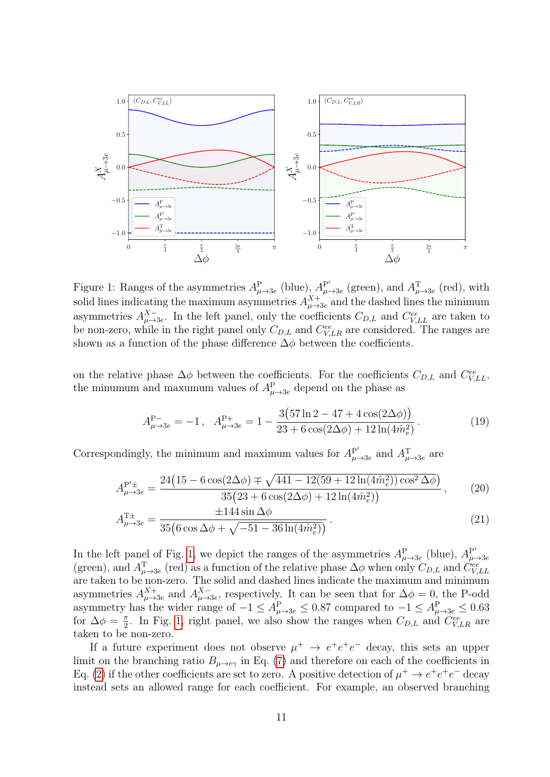

<span id="page-10-0"></span>Figure 1: Ranges of the asymmetries  $A_{\mu \to 3e}^{\text{P}}$  (blue),  $A_{\mu}^{\text{P'}}$  $P'_{\mu \rightarrow 3e}$  (green), and  $A^{\text{T}}_{\mu \rightarrow 3e}$  (red), with solid lines indicating the maximum asymmetries  $A_{\mu\to 3e}^{X+}$  and the dashed lines the minimum asymmetries  $A_{\mu \to 3e}^{X-}$ . In the left panel, only the coefficients  $C_{D,L}$  and  $C_{V,LL}^{ee}$  are taken to be non-zero, while in the right panel only  $C_{D,L}$  and  $C_{V,LR}^{ee}$  are considered. The ranges are shown as a function of the phase difference  $\Delta\phi$  between the coefficients.

on the relative phase  $\Delta \phi$  between the coefficients. For the coefficients  $C_{D,L}$  and  $C_{V,LL}^{ee}$ , the minumum and maxumum values of  $A_{\mu\rightarrow 3e}^{\text{P}}$  depend on the phase as

<span id="page-10-3"></span><span id="page-10-2"></span><span id="page-10-1"></span>
$$
A_{\mu \to 3e}^{\mathcal{P}-} = -1, \quad A_{\mu \to 3e}^{\mathcal{P}+} = 1 - \frac{3(57\ln 2 - 47 + 4\cos(2\Delta\phi))}{23 + 6\cos(2\Delta\phi) + 12\ln(4\hat{m}_e^2)}.
$$
 (19)

Correspondingly, the minimum and maximum values for  $A_{\mu}^{\mathbf{P}^{\prime}}$  $P'_{\mu \rightarrow 3e}$  and  $A_{\mu \rightarrow 3e}^{T}$  are

$$
A_{\mu \to 3e}^{\mathbf{P}'\pm} = \frac{24(15 - 6\cos(2\Delta\phi) \mp \sqrt{441 - 12(59 + 12\ln(4\hat{m}_e^2))\cos^2\Delta\phi})}{35(23 + 6\cos(2\Delta\phi) + 12\ln(4\hat{m}_e^2))},
$$
 (20)

$$
A_{\mu \to 3e}^{\text{T}\pm} = \frac{\pm 144 \sin \Delta \phi}{35 \left( 6 \cos \Delta \phi + \sqrt{-51 - 36 \ln(4 \hat{m}_e^2)} \right)}.
$$
\n(21)

In the left panel of Fig. [1,](#page-10-0) we depict the ranges of the asymmetries  $A_{\mu\to 3e}^{\text{P}}$  (blue),  $A_{\mu}^{\text{P}'}$ In the felt panel of Fig. 1, we depict the ranges of the asymmetries  $A_{\mu\to 3e}$  (blue),  $A_{\mu\to 3e}$ <br>(green), and  $A_{\mu\to 3e}^T$  (red) as a function of the relative phase  $\Delta\phi$  when only  $C_{D,L}$  and  $C_{V,LL}^{ee}$ are taken to be non-zero. The solid and dashed lines indicate the maximum and minimum asymmetries  $A_{\mu\to 3e}^{X+}$  and  $A_{\mu\to 3e}^{X-}$ , respectively. It can be seen that for  $\Delta\phi=0$ , the P-odd asymmetry has the wider range of  $-1 \leq A_{\mu \to 3e}^{\text{P}} \leq 0.87$  compared to  $-1 \leq A_{\mu \to 3e}^{\text{P}} \leq 0.63$ for  $\Delta \phi = \frac{\pi}{2}$  $\frac{\pi}{2}$ . In Fig. [1,](#page-10-0) right panel, we also show the ranges when  $C_{D,L}$  and  $C_{V,LR}^{ee}$  are taken to be non-zero.

If a future experiment does not observe  $\mu^+ \to e^+e^-$  decay, this sets an upper limit on the branching ratio  $B_{\mu\to e\gamma}$  in Eq. [\(7\)](#page-5-3) and therefore on each of the coefficients in Eq. [\(2\)](#page-4-1) if the other coefficients are set to zero. A positive detection of  $\mu^+ \to e^+e^-$  decay instead sets an allowed range for each coefficient. For example, an observed branching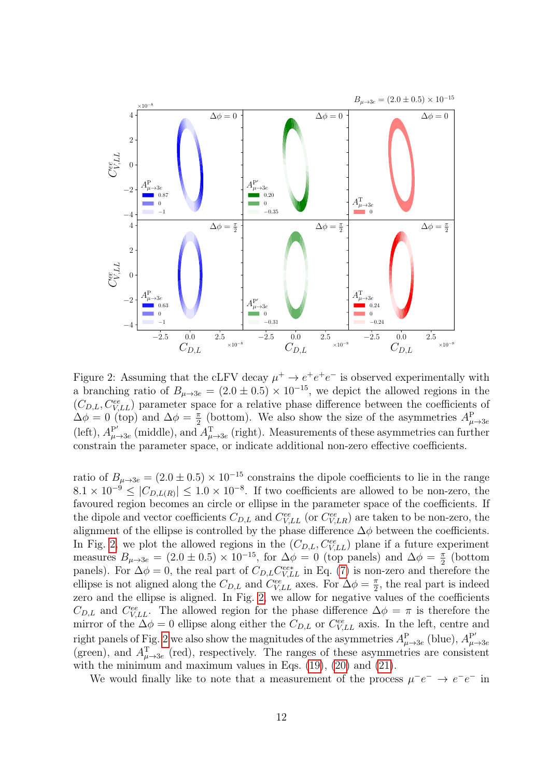

<span id="page-11-0"></span>Figure 2: Assuming that the cLFV decay  $\mu^+ \to e^+e^-$  is observed experimentally with a branching ratio of  $B_{\mu\to 3e} = (2.0 \pm 0.5) \times 10^{-15}$ , we depict the allowed regions in the  $(C_{D,L}, C_{V,LL}^{ee})$  parameter space for a relative phase difference between the coefficients of  $\Delta \phi = 0$  (top) and  $\Delta \phi = \frac{\pi}{2}$  $\frac{\pi}{2}$  (bottom). We also show the size of the asymmetries  $A^{\text{P}}_{\mu \to 3e}$  $(left), A<sub>u</sub><sup>P'</sup>$  $P'_{\mu\to 3e}$  (middle), and  $A_{\mu\to 3e}^{T}$  (right). Measurements of these asymmetries can further constrain the parameter space, or indicate additional non-zero effective coefficients.

ratio of  $B_{\mu \to 3e} = (2.0 \pm 0.5) \times 10^{-15}$  constrains the dipole coefficients to lie in the range  $8.1 \times 10^{-9} \leq |C_{D,L(R)}| \leq 1.0 \times 10^{-8}$ . If two coefficients are allowed to be non-zero, the favoured region becomes an circle or ellipse in the parameter space of the coefficients. If the dipole and vector coefficients  $C_{D,L}$  and  $C_{V,LL}^{ee}$  (or  $C_{V,LR}^{ee}$ ) are taken to be non-zero, the alignment of the ellipse is controlled by the phase difference  $\Delta \phi$  between the coefficients. In Fig. [2,](#page-11-0) we plot the allowed regions in the  $(C_{D,L}, C_{V,LL}^{ee})$  plane if a future experiment measures  $B_{\mu \to 3e} = (2.0 \pm 0.5) \times 10^{-15}$ , for  $\Delta \phi = 0$  (top panels) and  $\Delta \phi = \frac{\pi}{2}$  $rac{\pi}{2}$  (bottom panels). For  $\Delta \phi = 0$ , the real part of  $C_{D,L} C_{V,LL}^{ee*}$  in Eq. [\(7\)](#page-5-3) is non-zero and therefore the ellipse is not aligned along the  $C_{D,L}$  and  $C_{V,LL}^{ee}$  axes. For  $\Delta \phi = \frac{\pi}{2}$  $\frac{\pi}{2}$ , the real part is indeed zero and the ellipse is aligned. In Fig. [2,](#page-11-0) we allow for negative values of the coefficients  $C_{D,L}$  and  $C_{V,LL}^{ee}$ . The allowed region for the phase difference  $\Delta \phi = \pi$  is therefore the mirror of the  $\Delta \phi = 0$  ellipse along either the  $C_{D,L}$  or  $C_{V,LL}^{ee}$  axis. In the left, centre and right panels of Fig. [2](#page-11-0) we also show the magnitudes of the asymmetries  $A_{\mu\to 3e}^{\text{P}}$  (blue),  $A_{\mu}^{\text{P}}$ Tight panels of Fig. 2 we also show the magnitudes of the asymmetries  $A_{\mu \to 3e}$  (blue),  $A_{\mu \to 3e}$  (red), respectively. The ranges of these asymmetries are consistent with the minimum and maximum values in Eqs.  $(19)$ ,  $(20)$  and  $(21)$ .

We would finally like to note that a measurement of the process  $\mu^-e^- \to e^-e^-$  in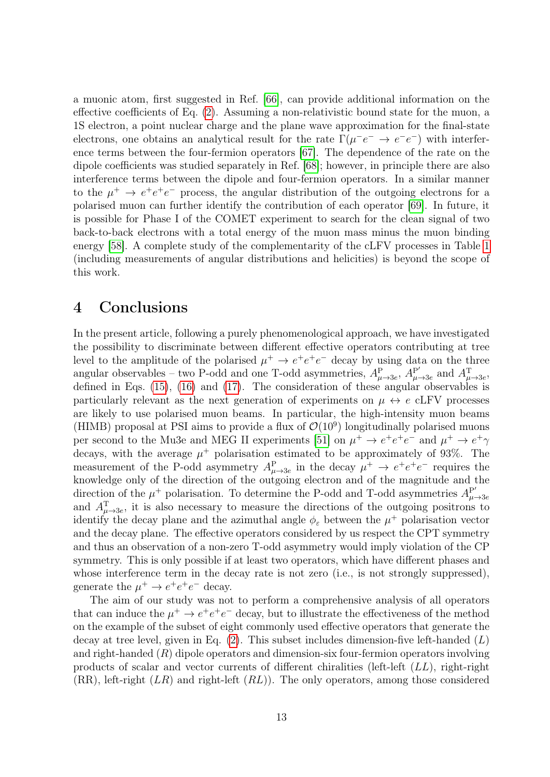a muonic atom, first suggested in Ref. [\[66\]](#page-21-5), can provide additional information on the effective coefficients of Eq. [\(2\)](#page-4-1). Assuming a non-relativistic bound state for the muon, a 1S electron, a point nuclear charge and the plane wave approximation for the final-state electrons, one obtains an analytical result for the rate  $\Gamma(\mu^-e^- \to e^-e^-)$  with interference terms between the four-fermion operators [\[67\]](#page-21-6). The dependence of the rate on the dipole coefficients was studied separately in Ref. [\[68\]](#page-21-7); however, in principle there are also interference terms between the dipole and four-fermion operators. In a similar manner to the  $\mu^+ \to e^+e^+e^-$  process, the angular distribution of the outgoing electrons for a polarised muon can further identify the contribution of each operator [\[69\]](#page-21-8). In future, it is possible for Phase I of the COMET experiment to search for the clean signal of two back-to-back electrons with a total energy of the muon mass minus the muon binding energy [\[58\]](#page-20-10). A complete study of the complementarity of the cLFV processes in Table [1](#page-3-0) (including measurements of angular distributions and helicities) is beyond the scope of this work.

#### <span id="page-12-0"></span>4 Conclusions

In the present article, following a purely phenomenological approach, we have investigated the possibility to discriminate between different effective operators contributing at tree level to the amplitude of the polarised  $\mu^+ \to e^+e^+e^-$  decay by using data on the three angular observables – two P-odd and one T-odd asymmetries,  $A_{\mu\to 3e}^{P}$ ,  $A_{\mu}^{P'}$  $P'_{\mu \rightarrow 3e}$  and  $A^{\text{T}}_{\mu \rightarrow 3e}$ , defined in Eqs. [\(15\)](#page-8-0), [\(16\)](#page-8-1) and [\(17\)](#page-8-2). The consideration of these angular observables is particularly relevant as the next generation of experiments on  $\mu \leftrightarrow e$  cLFV processes are likely to use polarised muon beams. In particular, the high-intensity muon beams (HIMB) proposal at PSI aims to provide a flux of  $\mathcal{O}(10^9)$  longitudinally polarised muons per second to the Mu3e and MEG II experiments [\[51\]](#page-20-13) on  $\mu^+ \to e^+e^+e^-$  and  $\mu^+ \to e^+ \gamma$ decays, with the average  $\mu^+$  polarisation estimated to be approximately of 93%. The measurement of the P-odd asymmetry  $A_{\mu\to 3e}^{\text{P}}$  in the decay  $\mu^+ \to e^+e^+e^-$  requires the knowledge only of the direction of the outgoing electron and of the magnitude and the direction of the  $\mu^+$  polarisation. To determine the P-odd and T-odd asymmetries  $A^{\mathbf{p}'}_{\mu}$  $\mu \rightarrow 3e$ and  $A_{\mu\to 3e}^T$ , it is also necessary to measure the directions of the outgoing positrons to identify the decay plane and the azimuthal angle  $\phi_{\varepsilon}$  between the  $\mu^{+}$  polarisation vector and the decay plane. The effective operators considered by us respect the CPT symmetry and thus an observation of a non-zero T-odd asymmetry would imply violation of the CP symmetry. This is only possible if at least two operators, which have different phases and whose interference term in the decay rate is not zero (i.e., is not strongly suppressed), generate the  $\mu^+ \to e^+e^+e^-$  decay.

The aim of our study was not to perform a comprehensive analysis of all operators that can induce the  $\mu^+ \to e^+e^+e^-$  decay, but to illustrate the effectiveness of the method on the example of the subset of eight commonly used effective operators that generate the decay at tree level, given in Eq.  $(2)$ . This subset includes dimension-five left-handed  $(L)$ and right-handed  $(R)$  dipole operators and dimension-six four-fermion operators involving products of scalar and vector currents of different chiralities (left-left  $(LL)$ , right-right  $(RR)$ , left-right  $(LR)$  and right-left  $(RL)$ ). The only operators, among those considered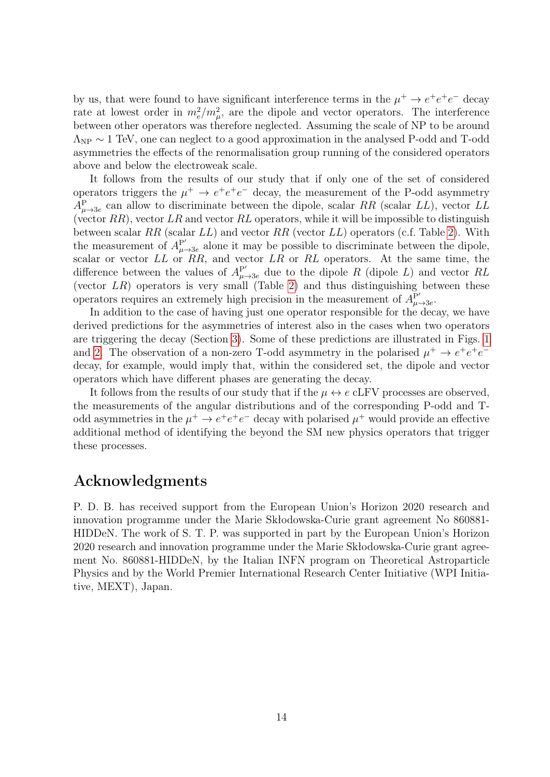by us, that were found to have significant interference terms in the  $\mu^+ \to e^+e^+e^-$  decay rate at lowest order in  $m_e^2/m_\mu^2$ , are the dipole and vector operators. The interference between other operators was therefore neglected. Assuming the scale of NP to be around  $\Lambda_{\rm NP} \sim 1$  TeV, one can neglect to a good approximation in the analysed P-odd and T-odd asymmetries the effects of the renormalisation group running of the considered operators above and below the electroweak scale.

It follows from the results of our study that if only one of the set of considered operators triggers the  $\mu^+ \to e^+e^-$  decay, the measurement of the P-odd asymmetry  $A_{\mu\rightarrow 3e}^{\text{P}}$  can allow to discriminate between the dipole, scalar RR (scalar LL), vector LL (vector  $RR$ ), vector  $LR$  and vector  $RL$  operators, while it will be impossible to distinguish between scalar RR (scalar  $LL$ ) and vector RR (vector  $LL$ ) operators (c.f. Table [2\)](#page-6-0). With the measurement of  $A_{\mu}^{\mathbf{P}'}$  $P'_{\mu \rightarrow 3e}$  alone it may be possible to discriminate between the dipole, scalar or vector  $LL$  or  $RR$ , and vector  $LR$  or  $RL$  operators. At the same time, the difference between the values of  $A_{\mu \to 3e}^{P'}$  due to the dipole R (dipole L) and vector RL (vector  $LR$ ) operators is very small (Table [2\)](#page-6-0) and thus distinguishing between these operators requires an extremely high precision in the measurement of  $A^{\mathbf{P}'}_{\mu}$ P′<br>∙µ→3e

In addition to the case of having just one operator responsible for the decay, we have derived predictions for the asymmetries of interest also in the cases when two operators are triggering the decay (Section [3\)](#page-7-0). Some of these predictions are illustrated in Figs. [1](#page-10-0) and [2.](#page-11-0) The observation of a non-zero T-odd asymmetry in the polarised  $\mu^+ \to e^+e^+e^$ decay, for example, would imply that, within the considered set, the dipole and vector operators which have different phases are generating the decay.

It follows from the results of our study that if the  $\mu \leftrightarrow e$  cLFV processes are observed, the measurements of the angular distributions and of the corresponding P-odd and Todd asymmetries in the  $\mu^+ \to e^+e^+e^-$  decay with polarised  $\mu^+$  would provide an effective additional method of identifying the beyond the SM new physics operators that trigger these processes.

#### Acknowledgments

P. D. B. has received support from the European Union's Horizon 2020 research and innovation programme under the Marie Skłodowska-Curie grant agreement No 860881- HIDDeN. The work of S. T. P. was supported in part by the European Union's Horizon 2020 research and innovation programme under the Marie Skłodowska-Curie grant agreement No. 860881-HIDDeN, by the Italian INFN program on Theoretical Astroparticle Physics and by the World Premier International Research Center Initiative (WPI Initiative, MEXT), Japan.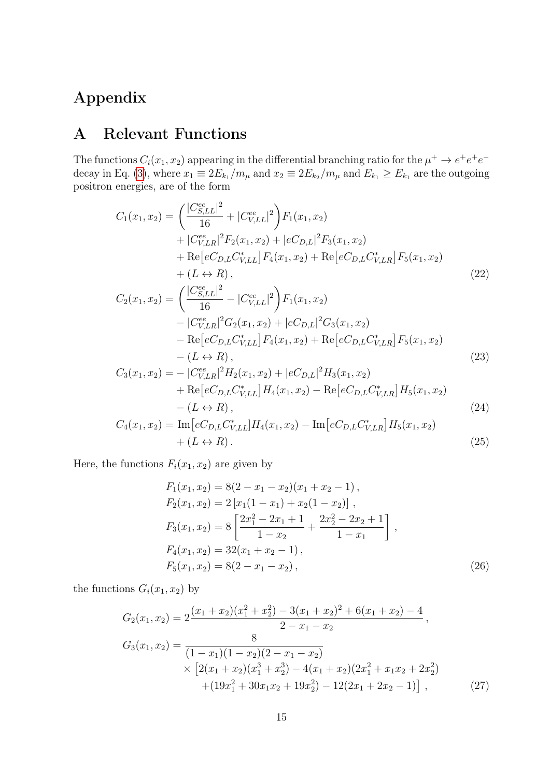## Appendix

### <span id="page-14-0"></span>A Relevant Functions

The functions  $C_i(x_1, x_2)$  appearing in the differential branching ratio for the  $\mu^+ \to e^+e^+e^-$ decay in Eq. [\(3\)](#page-4-2), where  $x_1 \equiv 2E_{k_1}/m_\mu$  and  $x_2 \equiv 2E_{k_2}/m_\mu$  and  $E_{k_1} \ge E_{k_1}$  are the outgoing positron energies, are of the form

$$
C_{1}(x_{1}, x_{2}) = \left(\frac{|C_{S,LL}^{ee}|^{2}}{16} + |C_{V,LL}^{ee}|^{2}\right)F_{1}(x_{1}, x_{2})
$$
  
+  $|C_{V,LR}^{ee}|^{2}F_{2}(x_{1}, x_{2}) + |eC_{D,L}|^{2}F_{3}(x_{1}, x_{2})$   
+  $Re[eC_{D,L}C_{V,LL}^{*}]F_{4}(x_{1}, x_{2}) + Re[eC_{D,L}C_{V,LR}^{*}]F_{5}(x_{1}, x_{2})$   
+  $(L \leftrightarrow R),$   

$$
C_{2}(x_{1}, x_{2}) = \left(\frac{|C_{S,LL}^{ee}|^{2}}{16} - |C_{V,LL}^{ee}|^{2}\right)F_{1}(x_{1}, x_{2})
$$
  
-  $|C_{V,LR}^{ee}|^{2}G_{2}(x_{1}, x_{2}) + |eC_{D,L}|^{2}G_{3}(x_{1}, x_{2})$   
-  $Re[eC_{D,L}C_{V,LL}^{*}]F_{4}(x_{1}, x_{2}) + Re[eC_{D,L}C_{V,LR}^{*}]F_{5}(x_{1}, x_{2})$ 

$$
- (L \leftrightarrow R),
$$
\n
$$
C_3(x_1, x_2) = -|C_{V,LR}^{ee}|^2 H_2(x_1, x_2) + |eC_{D,L}|^2 H_3(x_1, x_2)
$$
\n
$$
+ \operatorname{Re}[eC_{D,L}C_{V,LL}^*] H_4(x_1, x_2) - \operatorname{Re}[eC_{D,L}C_{V,LR}^*] H_5(x_1, x_2)
$$
\n
$$
- (L \leftrightarrow R),
$$
\n
$$
C_4(x_1, x_2) = \operatorname{Im}[eC_{D,L}C_{V,L}^*] H_4(x_1, x_2) - \operatorname{Im}[eC_{D,L}C_{V,L}^*] H_5(x_1, x_2)
$$
\n(24)

$$
C_4(x_1, x_2) = \text{Im}\left[eC_{D,L}C_{V,LL}^* \right]H_4(x_1, x_2) - \text{Im}\left[eC_{D,L}C_{V,LR}^* \right]H_5(x_1, x_2) + (L \leftrightarrow R). \tag{25}
$$

Here, the functions  $F_i(x_1, x_2)$  are given by

$$
F_1(x_1, x_2) = 8(2 - x_1 - x_2)(x_1 + x_2 - 1),
$$
  
\n
$$
F_2(x_1, x_2) = 2[x_1(1 - x_1) + x_2(1 - x_2)],
$$
  
\n
$$
F_3(x_1, x_2) = 8\left[\frac{2x_1^2 - 2x_1 + 1}{1 - x_2} + \frac{2x_2^2 - 2x_2 + 1}{1 - x_1}\right],
$$
  
\n
$$
F_4(x_1, x_2) = 32(x_1 + x_2 - 1),
$$
  
\n
$$
F_5(x_1, x_2) = 8(2 - x_1 - x_2),
$$
\n(26)

the functions  $G_i(x_1, x_2)$  by

$$
G_2(x_1, x_2) = 2 \frac{(x_1 + x_2)(x_1^2 + x_2^2) - 3(x_1 + x_2)^2 + 6(x_1 + x_2) - 4}{2 - x_1 - x_2},
$$
  
\n
$$
G_3(x_1, x_2) = \frac{8}{(1 - x_1)(1 - x_2)(2 - x_1 - x_2)}
$$
  
\n
$$
\times \left[2(x_1 + x_2)(x_1^3 + x_2^3) - 4(x_1 + x_2)(2x_1^2 + x_1x_2 + 2x_2^2) + (19x_1^2 + 30x_1x_2 + 19x_2^2) - 12(2x_1 + 2x_2 - 1)\right],
$$
 (27)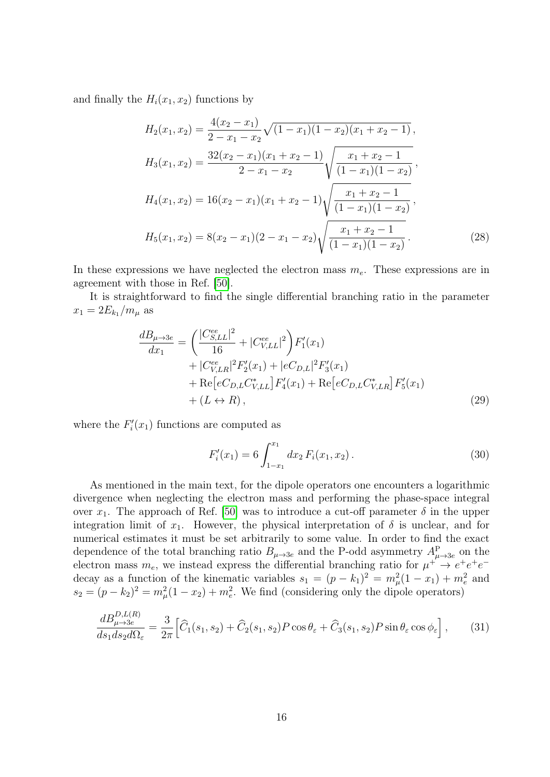and finally the  $H_i(x_1, x_2)$  functions by

$$
H_2(x_1, x_2) = \frac{4(x_2 - x_1)}{2 - x_1 - x_2} \sqrt{(1 - x_1)(1 - x_2)(x_1 + x_2 - 1)},
$$
  
\n
$$
H_3(x_1, x_2) = \frac{32(x_2 - x_1)(x_1 + x_2 - 1)}{2 - x_1 - x_2} \sqrt{\frac{x_1 + x_2 - 1}{(1 - x_1)(1 - x_2)}},
$$
  
\n
$$
H_4(x_1, x_2) = 16(x_2 - x_1)(x_1 + x_2 - 1) \sqrt{\frac{x_1 + x_2 - 1}{(1 - x_1)(1 - x_2)}},
$$
  
\n
$$
H_5(x_1, x_2) = 8(x_2 - x_1)(2 - x_1 - x_2) \sqrt{\frac{x_1 + x_2 - 1}{(1 - x_1)(1 - x_2)}}.
$$
\n(28)

In these expressions we have neglected the electron mass  $m_e$ . These expressions are in agreement with those in Ref. [\[50\]](#page-20-3).

It is straightforward to find the single differential branching ratio in the parameter  $x_1 = 2E_{k_1}/m_{\mu}$  as

$$
\frac{dB_{\mu\to 3e}}{dx_1} = \left(\frac{|C_{S,LL}^{ee}|^2}{16} + |C_{V,LL}^{ee}|^2\right)F'_1(x_1) \n+ |C_{V,LR}^{ee}|^2F'_2(x_1) + |eC_{D,L}|^2F'_3(x_1) \n+ \text{Re}\left[eC_{D,L}C_{V,LL}^*\right]F'_4(x_1) + \text{Re}\left[eC_{D,L}C_{V,LR}^*\right]F'_5(x_1) \n+ (L \leftrightarrow R),
$$
\n(29)

where the  $F_i'(x_1)$  functions are computed as

$$
F_i'(x_1) = 6 \int_{1-x_1}^{x_1} dx_2 F_i(x_1, x_2).
$$
 (30)

As mentioned in the main text, for the dipole operators one encounters a logarithmic divergence when neglecting the electron mass and performing the phase-space integral over  $x_1$ . The approach of Ref. [\[50\]](#page-20-3) was to introduce a cut-off parameter  $\delta$  in the upper integration limit of  $x_1$ . However, the physical interpretation of  $\delta$  is unclear, and for numerical estimates it must be set arbitrarily to some value. In order to find the exact dependence of the total branching ratio  $B_{\mu \to 3e}$  and the P-odd asymmetry  $A_{\mu \to 3e}^{\text{P}}$  on the electron mass  $m_e$ , we instead express the differential branching ratio for  $\mu^+ \to e^+e^+e^$ decay as a function of the kinematic variables  $s_1 = (p - k_1)^2 = m_\mu^2 (1 - x_1) + m_e^2$  and  $s_2 = (p - k_2)^2 = m_\mu^2 (1 - x_2) + m_e^2$ . We find (considering only the dipole operators)

$$
\frac{dB_{\mu \to 3e}^{D,L(R)}}{ds_1 ds_2 d\Omega_{\varepsilon}} = \frac{3}{2\pi} \Big[ \widehat{C}_1(s_1, s_2) + \widehat{C}_2(s_1, s_2) P \cos \theta_{\varepsilon} + \widehat{C}_3(s_1, s_2) P \sin \theta_{\varepsilon} \cos \phi_{\varepsilon} \Big],\tag{31}
$$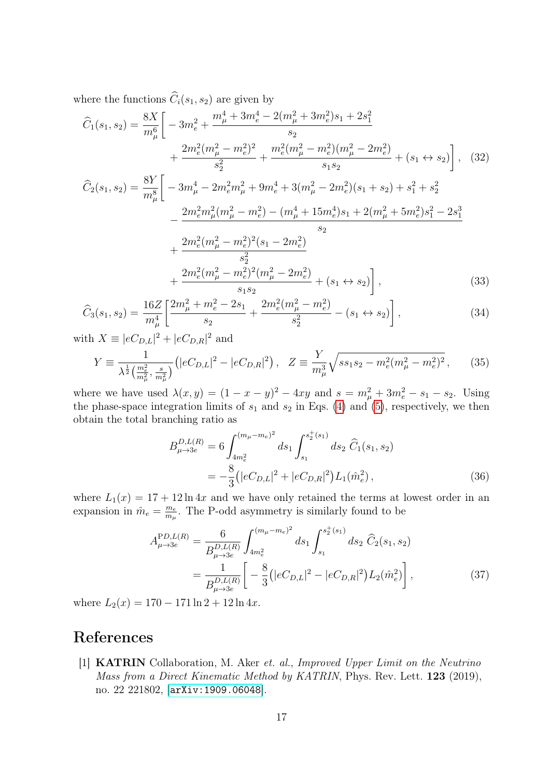where the functions  $\widehat{C}_i(s_1, s_2)$  are given by

$$
\hat{C}_{1}(s_{1}, s_{2}) = \frac{8X}{m_{\mu}^{6}} \left[ -3m_{e}^{2} + \frac{m_{\mu}^{4} + 3m_{e}^{4} - 2(m_{\mu}^{2} + 3m_{e}^{2})s_{1} + 2s_{1}^{2}}{s_{2}} + \frac{2m_{e}^{2}(m_{\mu}^{2} - m_{e}^{2})^{2}}{s_{2}^{2}} + \frac{m_{e}^{2}(m_{\mu}^{2} - m_{e}^{2})(m_{\mu}^{2} - 2m_{e}^{2})}{s_{1}s_{2}} + (s_{1} \leftrightarrow s_{2}) \right], \quad (32)
$$
\n
$$
\hat{C}_{2}(s_{1}, s_{2}) = \frac{8Y}{m_{\mu}^{8}} \left[ -3m_{\mu}^{4} - 2m_{e}^{2}m_{\mu}^{2} + 9m_{e}^{4} + 3(m_{\mu}^{2} - 2m_{e}^{2})(s_{1} + s_{2}) + s_{1}^{2} + s_{2}^{2} - 2m_{e}^{2}m_{\mu}^{2}(m_{\mu}^{2} - m_{e}^{2}) - (m_{\mu}^{4} + 15m_{e}^{4})s_{1} + 2(m_{\mu}^{2} + 5m_{e}^{2})s_{1}^{2} - 2s_{1}^{3} - 2m_{e}^{2}m_{\mu}^{2}(m_{\mu}^{2} - m_{e}^{2})^{2}(s_{1} - 2m_{e}^{2}) - 2m_{e}^{2}m_{e}^{2}(m_{\mu}^{2} - m_{e}^{2})^{2}(s_{1} - 2m_{e}^{2}) + 2m_{e}^{2}(m_{\mu}^{2} - m_{e}^{2})^{2}(m_{\mu}^{2} - 2m_{e}^{2}) + (s_{1} \leftrightarrow s_{2}) \right], \quad (33)
$$

$$
\widehat{C}_3(s_1, s_2) = \frac{16Z}{m_\mu^4} \left[ \frac{2m_\mu^2 + m_e^2 - 2s_1}{s_2} + \frac{2m_e^2(m_\mu^2 - m_e^2)}{s_2^2} - (s_1 \leftrightarrow s_2) \right],\tag{34}
$$

with  $X \equiv |eC_{D,L}|^2 + |eC_{D,R}|^2$  and

$$
Y \equiv \frac{1}{\lambda^{\frac{1}{2}} \left(\frac{m_e^2}{m_\mu^2}, \frac{s}{m_\mu^2}\right)} \left(|eC_{D,L}|^2 - |eC_{D,R}|^2\right), \quad Z \equiv \frac{Y}{m_\mu^3} \sqrt{ss_1s_2 - m_e^2(m_\mu^2 - m_e^2)^2},\tag{35}
$$

where we have used  $\lambda(x, y) = (1 - x - y)^2 - 4xy$  and  $s = m_{\mu}^2 + 3m_e^2 - s_1 - s_2$ . Using the phase-space integration limits of  $s_1$  and  $s_2$  in Eqs. [\(4\)](#page-5-1) and [\(5\)](#page-5-2), respectively, we then obtain the total branching ratio as

$$
B_{\mu \to 3e}^{D,L(R)} = 6 \int_{4m_e^2}^{(m_\mu - m_e)^2} ds_1 \int_{s_1}^{s_2^+(s_1)} ds_2 \, \widehat{C}_1(s_1, s_2)
$$
  
= 
$$
-\frac{8}{3} (|eC_{D,L}|^2 + |eC_{D,R}|^2) L_1(\hat{m}_e^2) , \qquad (36)
$$

where  $L_1(x) = 17 + 12 \ln 4x$  and we have only retained the terms at lowest order in an expansion in  $\hat{m}_e = \frac{m_e}{m_e}$  $\frac{m_e}{m_\mu}$ . The P-odd asymmetry is similarly found to be

$$
A_{\mu \to 3e}^{\text{PD}, L(R)} = \frac{6}{B_{\mu \to 3e}^{D, L(R)}} \int_{4m_e^2}^{(m_\mu - m_e)^2} ds_1 \int_{s_1}^{s_2^+(s_1)} ds_2 \, \widehat{C}_2(s_1, s_2)
$$
  
= 
$$
\frac{1}{B_{\mu \to 3e}^{D, L(R)}} \left[ -\frac{8}{3} \left( |eC_{D, L}|^2 - |eC_{D, R}|^2 \right) L_2(\hat{m}_e^2) \right],
$$
(37)

where  $L_2(x) = 170 - 171 \ln 2 + 12 \ln 4x$ .

## References

<span id="page-16-0"></span>[1] KATRIN Collaboration, M. Aker et. al., Improved Upper Limit on the Neutrino Mass from a Direct Kinematic Method by KATRIN, Phys. Rev. Lett. 123 (2019), no. 22 221802, [[arXiv:1909.06048](http://arxiv.org/abs/1909.06048)].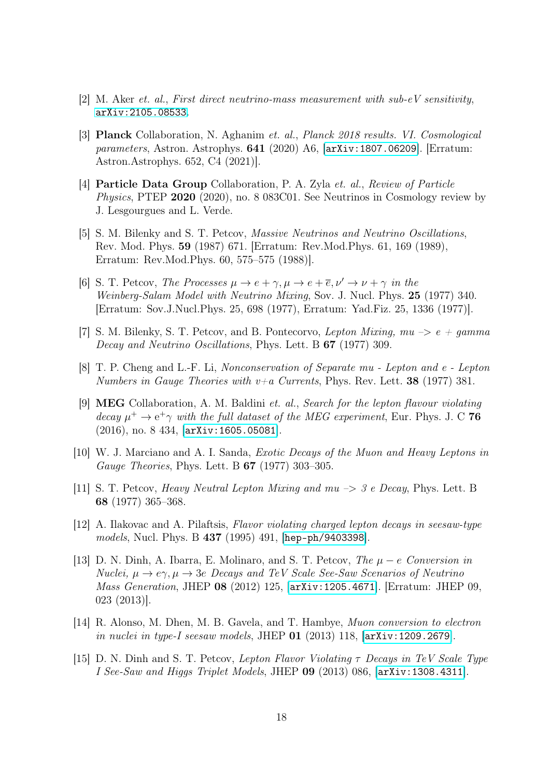- <span id="page-17-0"></span>[2] M. Aker et. al., First direct neutrino-mass measurement with sub-eV sensitivity, [arXiv:2105.08533](http://arxiv.org/abs/2105.08533).
- <span id="page-17-1"></span>[3] Planck Collaboration, N. Aghanim et. al., Planck 2018 results. VI. Cosmological parameters, Astron. Astrophys. 641 (2020) A6, [[arXiv:1807.06209](http://arxiv.org/abs/1807.06209)]. [Erratum: Astron.Astrophys. 652, C4 (2021)].
- <span id="page-17-2"></span>[4] Particle Data Group Collaboration, P. A. Zyla et. al., Review of Particle Physics, PTEP 2020 (2020), no. 8 083C01. See Neutrinos in Cosmology review by J. Lesgourgues and L. Verde.
- <span id="page-17-3"></span>[5] S. M. Bilenky and S. T. Petcov, Massive Neutrinos and Neutrino Oscillations, Rev. Mod. Phys. 59 (1987) 671. [Erratum: Rev.Mod.Phys. 61, 169 (1989), Erratum: Rev.Mod.Phys. 60, 575–575 (1988)].
- <span id="page-17-4"></span>[6] S. T. Petcov, The Processes  $\mu \to e + \gamma, \mu \to e + \overline{e}, \nu' \to \nu + \gamma$  in the Weinberg-Salam Model with Neutrino Mixing, Sov. J. Nucl. Phys. 25 (1977) 340. [Erratum: Sov.J.Nucl.Phys. 25, 698 (1977), Erratum: Yad.Fiz. 25, 1336 (1977)].
- <span id="page-17-5"></span>[7] S. M. Bilenky, S. T. Petcov, and B. Pontecorvo, Lepton Mixing,  $mu \rightarrow e + gamma$ Decay and Neutrino Oscillations, Phys. Lett. B 67 (1977) 309.
- <span id="page-17-6"></span>[8] T. P. Cheng and L.-F. Li, Nonconservation of Separate mu - Lepton and e - Lepton Numbers in Gauge Theories with  $v+a$  Currents, Phys. Rev. Lett. **38** (1977) 381.
- <span id="page-17-7"></span>[9] MEG Collaboration, A. M. Baldini et. al., Search for the lepton flavour violating decay  $\mu^+ \to e^+ \gamma$  with the full dataset of the MEG experiment, Eur. Phys. J. C 76 (2016), no. 8 434, [[arXiv:1605.05081](http://arxiv.org/abs/1605.05081)].
- <span id="page-17-8"></span>[10] W. J. Marciano and A. I. Sanda, Exotic Decays of the Muon and Heavy Leptons in Gauge Theories, Phys. Lett. B 67 (1977) 303–305.
- <span id="page-17-9"></span>[11] S. T. Petcov, Heavy Neutral Lepton Mixing and mu –> 3 e Decay, Phys. Lett. B 68 (1977) 365–368.
- <span id="page-17-10"></span>[12] A. Ilakovac and A. Pilaftsis, Flavor violating charged lepton decays in seesaw-type models, Nucl. Phys. B 437 (1995) 491, [[hep-ph/9403398](http://arxiv.org/abs/hep-ph/9403398)].
- <span id="page-17-11"></span>[13] D. N. Dinh, A. Ibarra, E. Molinaro, and S. T. Petcov, The  $\mu - e$  Conversion in Nuclei,  $\mu \to e\gamma$ ,  $\mu \to 3e$  Decays and TeV Scale See-Saw Scenarios of Neutrino Mass Generation, JHEP 08 (2012) 125, [[arXiv:1205.4671](http://arxiv.org/abs/1205.4671)]. [Erratum: JHEP 09, 023 (2013)].
- <span id="page-17-12"></span>[14] R. Alonso, M. Dhen, M. B. Gavela, and T. Hambye, Muon conversion to electron in nuclei in type-I seesaw models, JHEP 01 (2013) 118, [[arXiv:1209.2679](http://arxiv.org/abs/1209.2679)].
- [15] D. N. Dinh and S. T. Petcov, Lepton Flavor Violating  $\tau$  Decays in TeV Scale Type I See-Saw and Higgs Triplet Models, JHEP 09 (2013) 086, [[arXiv:1308.4311](http://arxiv.org/abs/1308.4311)].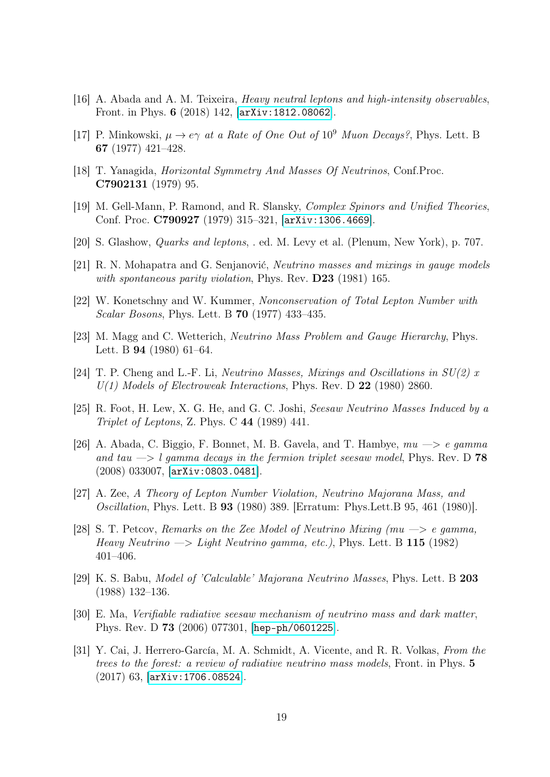- <span id="page-18-0"></span>[16] A. Abada and A. M. Teixeira, Heavy neutral leptons and high-intensity observables, Front. in Phys. 6 (2018) 142, [[arXiv:1812.08062](http://arxiv.org/abs/1812.08062)].
- <span id="page-18-1"></span>[17] P. Minkowski,  $\mu \to e\gamma$  at a Rate of One Out of 10<sup>9</sup> Muon Decays?, Phys. Lett. B 67 (1977) 421–428.
- [18] T. Yanagida, Horizontal Symmetry And Masses Of Neutrinos, Conf.Proc. C7902131 (1979) 95.
- [19] M. Gell-Mann, P. Ramond, and R. Slansky, Complex Spinors and Unified Theories, Conf. Proc. C790927 (1979) 315–321, [[arXiv:1306.4669](http://arxiv.org/abs/1306.4669)].
- [20] S. Glashow, Quarks and leptons, . ed. M. Levy et al. (Plenum, New York), p. 707.
- <span id="page-18-2"></span>[21] R. N. Mohapatra and G. Senjanović, Neutrino masses and mixings in gauge models with spontaneous parity violation, Phys. Rev. D23 (1981) 165.
- <span id="page-18-3"></span>[22] W. Konetschny and W. Kummer, Nonconservation of Total Lepton Number with Scalar Bosons, Phys. Lett. B 70 (1977) 433–435.
- [23] M. Magg and C. Wetterich, *Neutrino Mass Problem and Gauge Hierarchy*, Phys. Lett. B 94 (1980) 61–64.
- <span id="page-18-4"></span>[24] T. P. Cheng and L.-F. Li, *Neutrino Masses, Mixings and Oscillations in*  $SU(2)$  *x*  $U(1)$  Models of Electroweak Interactions, Phys. Rev. D 22 (1980) 2860.
- <span id="page-18-5"></span>[25] R. Foot, H. Lew, X. G. He, and G. C. Joshi, Seesaw Neutrino Masses Induced by a Triplet of Leptons, Z. Phys. C 44 (1989) 441.
- <span id="page-18-6"></span>[26] A. Abada, C. Biggio, F. Bonnet, M. B. Gavela, and T. Hambye,  $mu \rightarrow e$  gamma and tau  $\rightarrow$  l gamma decays in the fermion triplet seesaw model, Phys. Rev. D 78 (2008) 033007, [[arXiv:0803.0481](http://arxiv.org/abs/0803.0481)].
- <span id="page-18-7"></span>[27] A. Zee, A Theory of Lepton Number Violation, Neutrino Majorana Mass, and Oscillation, Phys. Lett. B 93 (1980) 389. [Erratum: Phys.Lett.B 95, 461 (1980)].
- [28] S. T. Petcov, Remarks on the Zee Model of Neutrino Mixing  $(mu \rightarrow e \gamma)$  egamma, Heavy Neutrino  $\rightarrow$  Light Neutrino gamma, etc.), Phys. Lett. B 115 (1982) 401–406.
- [29] K. S. Babu, Model of 'Calculable' Majorana Neutrino Masses, Phys. Lett. B 203 (1988) 132–136.
- [30] E. Ma, Verifiable radiative seesaw mechanism of neutrino mass and dark matter, Phys. Rev. D 73 (2006) 077301, [[hep-ph/0601225](http://arxiv.org/abs/hep-ph/0601225)].
- <span id="page-18-8"></span>[31] Y. Cai, J. Herrero-García, M. A. Schmidt, A. Vicente, and R. R. Volkas, From the trees to the forest: a review of radiative neutrino mass models, Front. in Phys. 5 (2017) 63, [[arXiv:1706.08524](http://arxiv.org/abs/1706.08524)].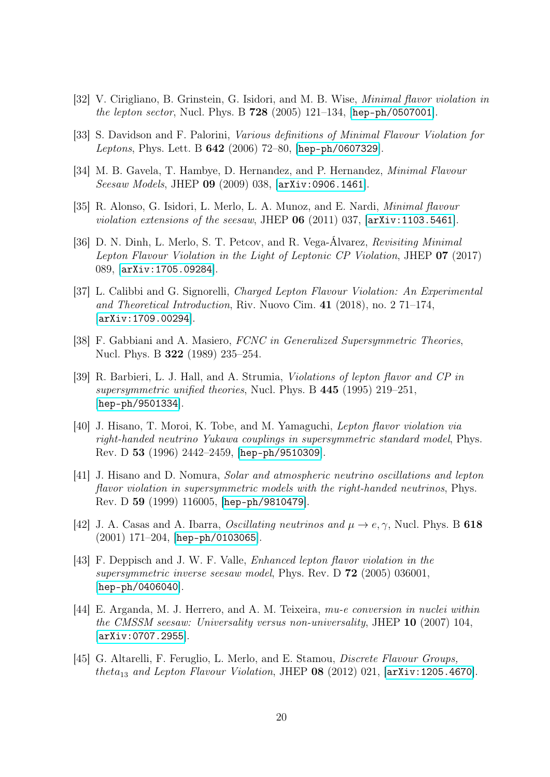- <span id="page-19-0"></span>[32] V. Cirigliano, B. Grinstein, G. Isidori, and M. B. Wise, Minimal flavor violation in *the lepton sector*, Nucl. Phys. B  $728$  (2005) 121–134, [[hep-ph/0507001](http://arxiv.org/abs/hep-ph/0507001)].
- [33] S. Davidson and F. Palorini, Various definitions of Minimal Flavour Violation for Leptons, Phys. Lett. B 642 (2006) 72–80, [[hep-ph/0607329](http://arxiv.org/abs/hep-ph/0607329)].
- [34] M. B. Gavela, T. Hambye, D. Hernandez, and P. Hernandez, *Minimal Flavour* Seesaw Models, JHEP 09 (2009) 038, [[arXiv:0906.1461](http://arxiv.org/abs/0906.1461)].
- [35] R. Alonso, G. Isidori, L. Merlo, L. A. Munoz, and E. Nardi, Minimal flavour violation extensions of the seesaw, JHEP  $06$  (2011) 037,  $\text{arXiv:1103.5461}$  $\text{arXiv:1103.5461}$  $\text{arXiv:1103.5461}$ .
- <span id="page-19-1"></span>[36] D. N. Dinh, L. Merlo, S. T. Petcov, and R. Vega-Álvarez, Revisiting Minimal Lepton Flavour Violation in the Light of Leptonic CP Violation, JHEP 07 (2017) 089, [[arXiv:1705.09284](http://arxiv.org/abs/1705.09284)].
- <span id="page-19-2"></span>[37] L. Calibbi and G. Signorelli, Charged Lepton Flavour Violation: An Experimental and Theoretical Introduction, Riv. Nuovo Cim. 41 (2018), no. 2 71–174, [[arXiv:1709.00294](http://arxiv.org/abs/1709.00294)].
- <span id="page-19-3"></span>[38] F. Gabbiani and A. Masiero, FCNC in Generalized Supersymmetric Theories, Nucl. Phys. B 322 (1989) 235–254.
- [39] R. Barbieri, L. J. Hall, and A. Strumia, Violations of lepton flavor and CP in supersymmetric unified theories, Nucl. Phys. B 445 (1995) 219–251, [[hep-ph/9501334](http://arxiv.org/abs/hep-ph/9501334)].
- [40] J. Hisano, T. Moroi, K. Tobe, and M. Yamaguchi, Lepton flavor violation via right-handed neutrino Yukawa couplings in supersymmetric standard model, Phys. Rev. D 53 (1996) 2442–2459, [[hep-ph/9510309](http://arxiv.org/abs/hep-ph/9510309)].
- <span id="page-19-4"></span>[41] J. Hisano and D. Nomura, Solar and atmospheric neutrino oscillations and lepton flavor violation in supersymmetric models with the right-handed neutrinos, Phys. Rev. D 59 (1999) 116005, [[hep-ph/9810479](http://arxiv.org/abs/hep-ph/9810479)].
- [42] J. A. Casas and A. Ibarra, *Oscillating neutrinos and*  $\mu \rightarrow e, \gamma$ , Nucl. Phys. B 618 (2001) 171–204, [[hep-ph/0103065](http://arxiv.org/abs/hep-ph/0103065)].
- [43] F. Deppisch and J. W. F. Valle, Enhanced lepton flavor violation in the supersymmetric inverse seesaw model, Phys. Rev. D 72 (2005) 036001, [[hep-ph/0406040](http://arxiv.org/abs/hep-ph/0406040)].
- [44] E. Arganda, M. J. Herrero, and A. M. Teixeira, mu-e conversion in nuclei within the CMSSM seesaw: Universality versus non-universality, JHEP 10 (2007) 104, [[arXiv:0707.2955](http://arxiv.org/abs/0707.2955)].
- [45] G. Altarelli, F. Feruglio, L. Merlo, and E. Stamou, Discrete Flavour Groups, theta<sub>13</sub> and Lepton Flavour Violation, JHEP  $08$  (2012) 021,  $[\text{arXiv}:1205.4670]$ .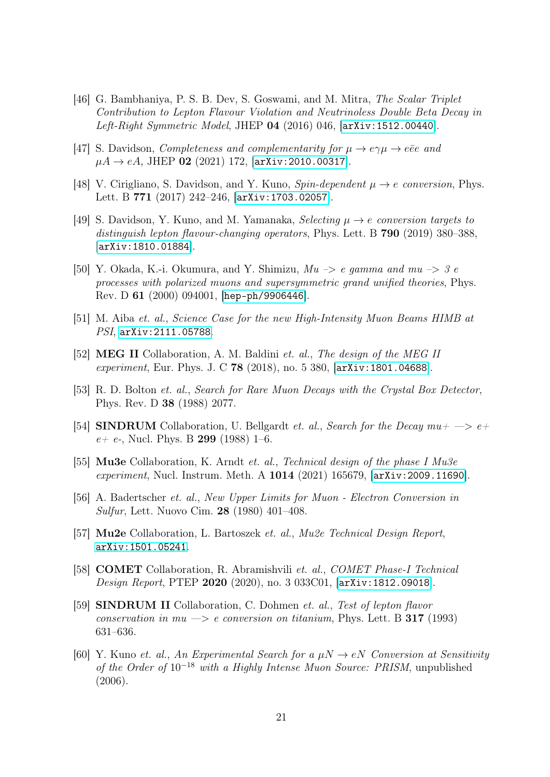- <span id="page-20-0"></span>[46] G. Bambhaniya, P. S. B. Dev, S. Goswami, and M. Mitra, The Scalar Triplet Contribution to Lepton Flavour Violation and Neutrinoless Double Beta Decay in Left-Right Symmetric Model, JHEP 04 (2016) 046, [[arXiv:1512.00440](http://arxiv.org/abs/1512.00440)].
- <span id="page-20-1"></span>[47] S. Davidson, *Completeness and complementarity for*  $\mu \rightarrow e\gamma \mu \rightarrow e\bar{e}e$  and  $\mu A \to eA$ , JHEP 02 (2021) 172, [[arXiv:2010.00317](http://arxiv.org/abs/2010.00317)].
- [48] V. Cirigliano, S. Davidson, and Y. Kuno,  $Spin-dependent \mu \rightarrow e \; conversion$ , Phys. Lett. B 771 (2017) 242–246, [[arXiv:1703.02057](http://arxiv.org/abs/1703.02057)].
- <span id="page-20-2"></span>[49] S. Davidson, Y. Kuno, and M. Yamanaka, Selecting  $\mu \to e$  conversion targets to distinguish lepton flavour-changing operators, Phys. Lett. B 790 (2019) 380–388, [[arXiv:1810.01884](http://arxiv.org/abs/1810.01884)].
- <span id="page-20-3"></span>[50] Y. Okada, K.-i. Okumura, and Y. Shimizu,  $Mu \rightarrow e$  gamma and  $mu \rightarrow g e$ processes with polarized muons and supersymmetric grand unified theories, Phys. Rev. D 61 (2000) 094001, [[hep-ph/9906446](http://arxiv.org/abs/hep-ph/9906446)].
- <span id="page-20-13"></span>[51] M. Aiba et. al., Science Case for the new High-Intensity Muon Beams HIMB at PSI, [arXiv:2111.05788](http://arxiv.org/abs/2111.05788).
- <span id="page-20-4"></span>[52] MEG II Collaboration, A. M. Baldini et. al., The design of the MEG II experiment, Eur. Phys. J. C 78 (2018), no. 5 380, [[arXiv:1801.04688](http://arxiv.org/abs/1801.04688)].
- <span id="page-20-5"></span>[53] R. D. Bolton et. al., Search for Rare Muon Decays with the Crystal Box Detector, Phys. Rev. D 38 (1988) 2077.
- <span id="page-20-6"></span>[54] SINDRUM Collaboration, U. Bellgardt *et. al., Search for the Decay mu+*  $\rightarrow$  *e+*  $e+ e$ -, Nucl. Phys. B 299 (1988) 1–6.
- <span id="page-20-7"></span>[55] Mu3e Collaboration, K. Arndt et. al., Technical design of the phase I Mu3e experiment, Nucl. Instrum. Meth. A 1014 (2021) 165679, [arXiv: 2009.11690].
- <span id="page-20-8"></span>[56] A. Badertscher et. al., New Upper Limits for Muon - Electron Conversion in Sulfur, Lett. Nuovo Cim. 28 (1980) 401–408.
- <span id="page-20-9"></span>[57] Mu2e Collaboration, L. Bartoszek et. al., Mu2e Technical Design Report, [arXiv:1501.05241](http://arxiv.org/abs/1501.05241).
- <span id="page-20-10"></span>[58] COMET Collaboration, R. Abramishvili et. al., COMET Phase-I Technical Design Report, PTEP 2020 (2020), no. 3 033C01, [[arXiv:1812.09018](http://arxiv.org/abs/1812.09018)].
- <span id="page-20-11"></span>[59] SINDRUM II Collaboration, C. Dohmen et. al., Test of lepton flavor conservation in mu  $\Rightarrow$  e conversion on titanium, Phys. Lett. B 317 (1993) 631–636.
- <span id="page-20-12"></span>[60] Y. Kuno et. al., An Experimental Search for a  $\mu N \to eN$  Conversion at Sensitivity of the Order of 10<sup>−</sup><sup>18</sup> with a Highly Intense Muon Source: PRISM, unpublished (2006).